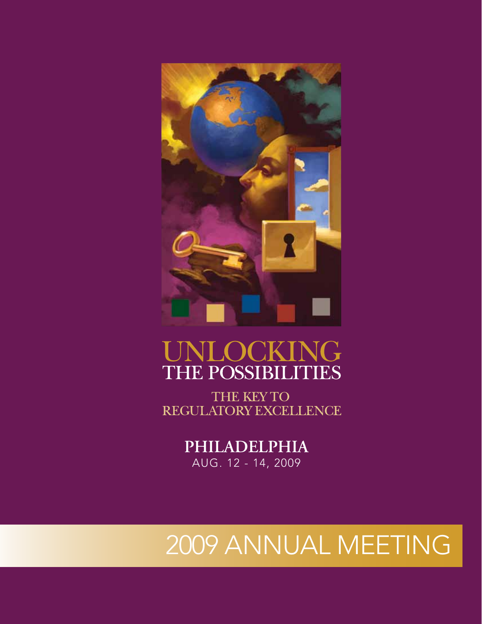

# OCKING THE POSSIBILITIES

THE KEY TO REGULATORY EXCELLENCE

# **PHILADELPHIA** AUG. 12 - 14, 2009

# 2009 ANNUAL MEETING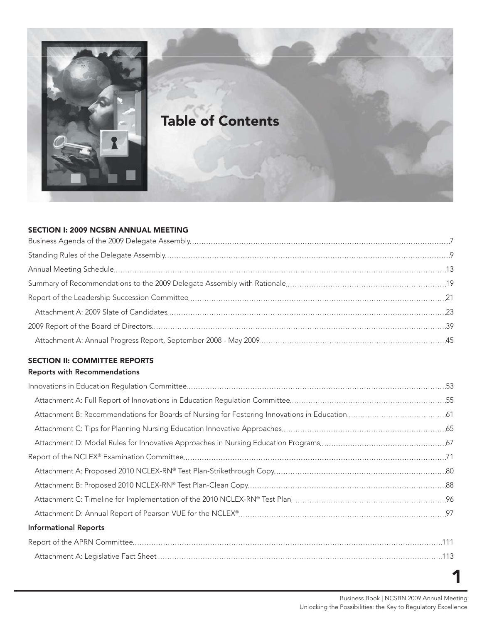

# **Table of Contents**

#### **SECTION I: 2009 NCSBN ANNUAL MEETING**

## **SECTION II: COMMITTEE REPORTS**

#### **Reports with Recommendations**

| <b>Informational Reports</b> |  |
|------------------------------|--|
|                              |  |
|                              |  |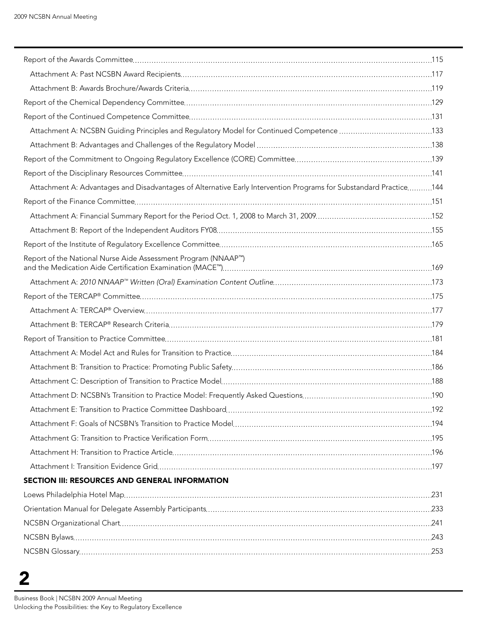| Attachment A: NCSBN Guiding Principles and Regulatory Model for Continued Competence 133                          |  |
|-------------------------------------------------------------------------------------------------------------------|--|
|                                                                                                                   |  |
|                                                                                                                   |  |
|                                                                                                                   |  |
| Attachment A: Advantages and Disadvantages of Alternative Early Intervention Programs for Substandard Practice144 |  |
|                                                                                                                   |  |
|                                                                                                                   |  |
|                                                                                                                   |  |
|                                                                                                                   |  |
| Report of the National Nurse Aide Assessment Program (NNAAP™)                                                     |  |
|                                                                                                                   |  |
|                                                                                                                   |  |
|                                                                                                                   |  |
|                                                                                                                   |  |
|                                                                                                                   |  |
|                                                                                                                   |  |
|                                                                                                                   |  |
|                                                                                                                   |  |
|                                                                                                                   |  |
|                                                                                                                   |  |
|                                                                                                                   |  |
|                                                                                                                   |  |
|                                                                                                                   |  |
|                                                                                                                   |  |
| SECTION III: RESOURCES AND GENERAL INFORMATION                                                                    |  |
|                                                                                                                   |  |
|                                                                                                                   |  |
|                                                                                                                   |  |
|                                                                                                                   |  |
|                                                                                                                   |  |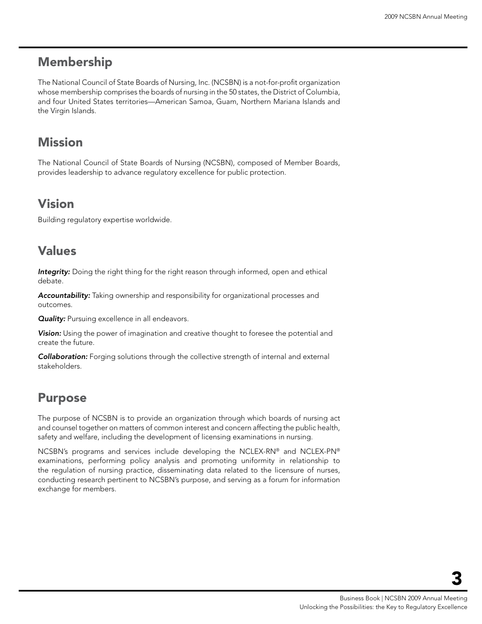# Membership

The National Council of State Boards of Nursing, Inc. (NCSBN) is a not-for-profit organization whose membership comprises the boards of nursing in the 50 states, the District of Columbia, and four United States territories—American Samoa, Guam, Northern Mariana Islands and the Virgin Islands.

# Mission

The National Council of State Boards of Nursing (NCSBN), composed of Member Boards, provides leadership to advance regulatory excellence for public protection.

# Vision

Building regulatory expertise worldwide.

# Values

*Integrity:* Doing the right thing for the right reason through informed, open and ethical debate.

*Accountability:* Taking ownership and responsibility for organizational processes and outcomes.

**Quality:** Pursuing excellence in all endeavors.

*Vision:* Using the power of imagination and creative thought to foresee the potential and create the future.

*Collaboration:* Forging solutions through the collective strength of internal and external stakeholders.

# Purpose

The purpose of NCSBN is to provide an organization through which boards of nursing act and counsel together on matters of common interest and concern affecting the public health, safety and welfare, including the development of licensing examinations in nursing.

NCSBN's programs and services include developing the NCLEX-RN® and NCLEX-PN® examinations, performing policy analysis and promoting uniformity in relationship to the regulation of nursing practice, disseminating data related to the licensure of nurses, conducting research pertinent to NCSBN's purpose, and serving as a forum for information exchange for members.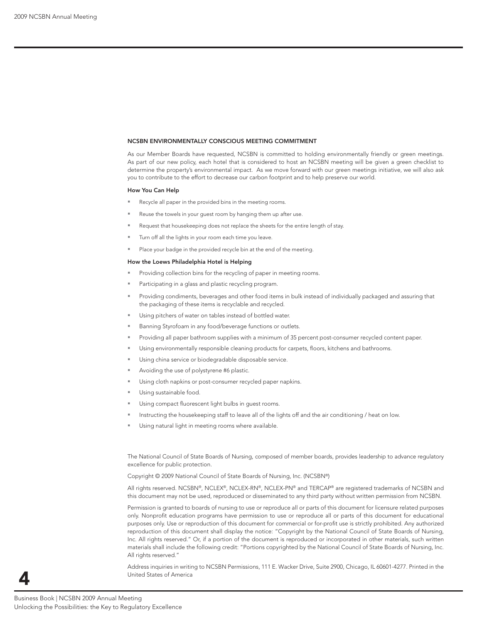#### **NCSBN ENVIRONMENTALLY CONSCIOUS MEETING COMMITMENT**

As our Member Boards have requested, NCSBN is committed to holding environmentally friendly or green meetings. As part of our new policy, each hotel that is considered to host an NCSBN meeting will be given a green checklist to determine the property's environmental impact. As we move forward with our green meetings initiative, we will also ask you to contribute to the effort to decrease our carbon footprint and to help preserve our world.

#### **How You Can Help**

- Recycle all paper in the provided bins in the meeting rooms.
- Reuse the towels in your guest room by hanging them up after use.
- Request that housekeeping does not replace the sheets for the entire length of stay.
- Turn off all the lights in your room each time you leave.
- Place your badge in the provided recycle bin at the end of the meeting.

#### **How the Loews Philadelphia Hotel is Helping**

- Providing collection bins for the recycling of paper in meeting rooms.
- Participating in a glass and plastic recycling program.
- Providing condiments, beverages and other food items in bulk instead of individually packaged and assuring that the packaging of these items is recyclable and recycled.
- Using pitchers of water on tables instead of bottled water.
- Banning Styrofoam in any food/beverage functions or outlets.
- Providing all paper bathroom supplies with a minimum of 35 percent post-consumer recycled content paper.
- Using environmentally responsible cleaning products for carpets, floors, kitchens and bathrooms.
- Using china service or biodegradable disposable service.
- Avoiding the use of polystyrene #6 plastic.
- Using cloth napkins or post-consumer recycled paper napkins.
- Using sustainable food.
- Using compact fluorescent light bulbs in guest rooms.
- Instructing the housekeeping staff to leave all of the lights off and the air conditioning / heat on low.
- Using natural light in meeting rooms where available.

The National Council of State Boards of Nursing, composed of member boards, provides leadership to advance regulatory excellence for public protection.

Copyright © 2009 National Council of State Boards of Nursing, Inc. (NCSBN®)

All rights reserved. NCSBN®, NCLEX®, NCLEX-RN®, NCLEX-PN® and TERCAP® are registered trademarks of NCSBN and this document may not be used, reproduced or disseminated to any third party without written permission from NCSBN.

Permission is granted to boards of nursing to use or reproduce all or parts of this document for licensure related purposes only. Nonprofi t education programs have permission to use or reproduce all or parts of this document for educational purposes only. Use or reproduction of this document for commercial or for-profit use is strictly prohibited. Any authorized reproduction of this document shall display the notice: "Copyright by the National Council of State Boards of Nursing, Inc. All rights reserved." Or, if a portion of the document is reproduced or incorporated in other materials, such written materials shall include the following credit: "Portions copyrighted by the National Council of State Boards of Nursing, Inc. All rights reserved."

Address inquiries in writing to NCSBN Permissions, 111 E. Wacker Drive, Suite 2900, Chicago, IL 60601-4277. Printed in the United States of America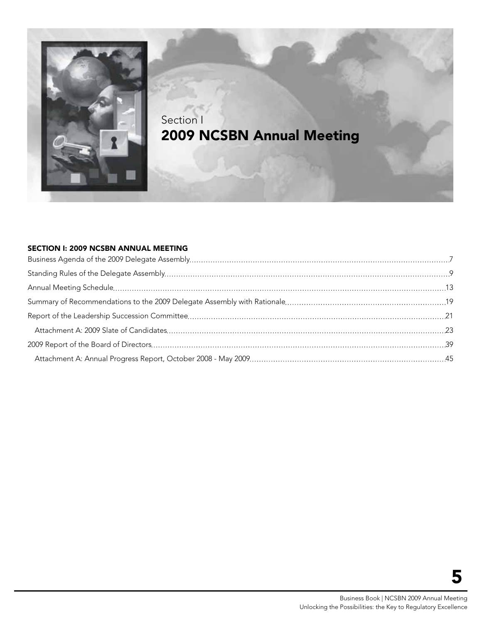

# Section I 2009 NCSBN Annual Meeting

#### Section I: 2009 NCSBN ANNUAL MEETING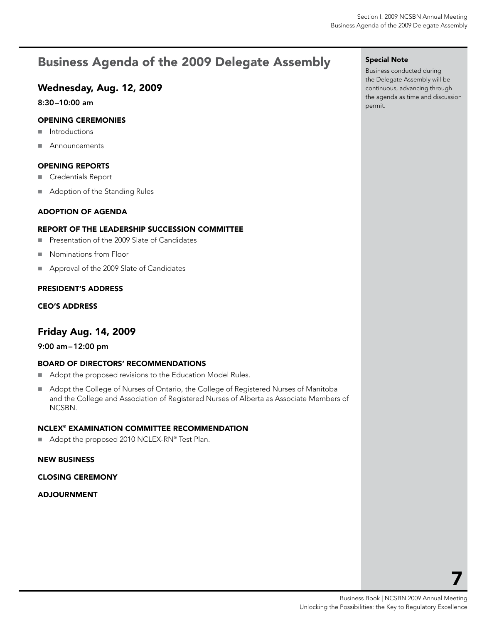# <span id="page-7-0"></span>Business Agenda of the 2009 Delegate Assembly

## Wednesday, Aug. 12, 2009

8:30–10:00 am

#### Opening Ceremonies

- **Introductions**
- Announcements

#### Opening Reports

- Credentials Report
- Adoption of the Standing Rules

#### Adoption of Agenda

#### Report of the LEADERSHIP SUCCESSION COMMITTEE

- **Presentation of the 2009 Slate of Candidates**
- Nominations from Floor
- Approval of the 2009 Slate of Candidates

#### President's Address

#### CEO's Address

### Friday Aug. 14, 2009

#### 9:00 am–12:00 pm

#### Board of Directors' Recommendations

- Adopt the proposed revisions to the Education Model Rules.
- Adopt the College of Nurses of Ontario, the College of Registered Nurses of Manitoba and the College and Association of Registered Nurses of Alberta as Associate Members of NCSBN.

#### NCLEX® Examination Committee Recommendation

■ Adopt the proposed 2010 NCLEX-RN® Test Plan.

#### new business

#### Closing Ceremony

Adjournment

#### Special Note

Business conducted during the Delegate Assembly will be continuous, advancing through the agenda as time and discussion permit.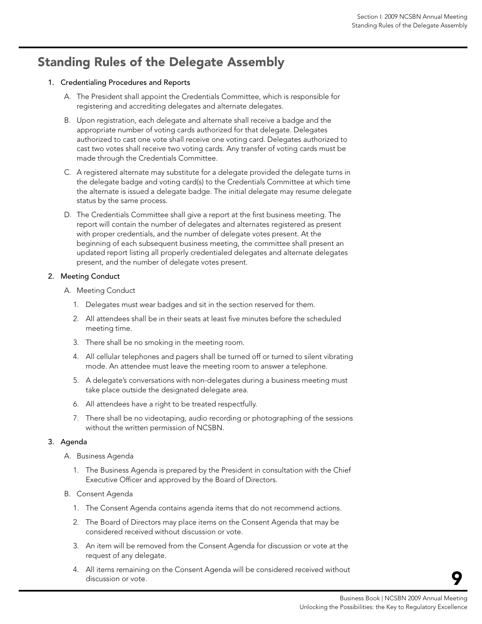# <span id="page-9-0"></span>Standing Rules of the Delegate Assembly

#### 1. Credentialing Procedures and Reports

- A. The President shall appoint the Credentials Committee, which is responsible for registering and accrediting delegates and alternate delegates.
- B. Upon registration, each delegate and alternate shall receive a badge and the appropriate number of voting cards authorized for that delegate. Delegates authorized to cast one vote shall receive one voting card. Delegates authorized to cast two votes shall receive two voting cards. Any transfer of voting cards must be made through the Credentials Committee.
- C. A registered alternate may substitute for a delegate provided the delegate turns in the delegate badge and voting card(s) to the Credentials Committee at which time the alternate is issued a delegate badge. The initial delegate may resume delegate status by the same process.
- D. The Credentials Committee shall give a report at the first business meeting. The report will contain the number of delegates and alternates registered as present with proper credentials, and the number of delegate votes present. At the beginning of each subsequent business meeting, the committee shall present an updated report listing all properly credentialed delegates and alternate delegates present, and the number of delegate votes present.

#### 2. Meeting Conduct

- A. Meeting Conduct
	- 1. Delegates must wear badges and sit in the section reserved for them.
	- 2. All attendees shall be in their seats at least five minutes before the scheduled meeting time.
	- 3. There shall be no smoking in the meeting room.
	- 4. All cellular telephones and pagers shall be turned off or turned to silent vibrating mode. An attendee must leave the meeting room to answer a telephone.
	- 5. A delegate's conversations with non-delegates during a business meeting must take place outside the designated delegate area.
	- 6. All attendees have a right to be treated respectfully.
	- 7. There shall be no videotaping, audio recording or photographing of the sessions without the written permission of NCSBN.

#### 3. Agenda

- A. Business Agenda
	- 1. The Business Agenda is prepared by the President in consultation with the Chief Executive Officer and approved by the Board of Directors.
- B. Consent Agenda
	- 1. The Consent Agenda contains agenda items that do not recommend actions.
	- 2. The Board of Directors may place items on the Consent Agenda that may be considered received without discussion or vote.
	- 3. An item will be removed from the Consent Agenda for discussion or vote at the request of any delegate.
	- 4. All items remaining on the Consent Agenda will be considered received without discussion or vote.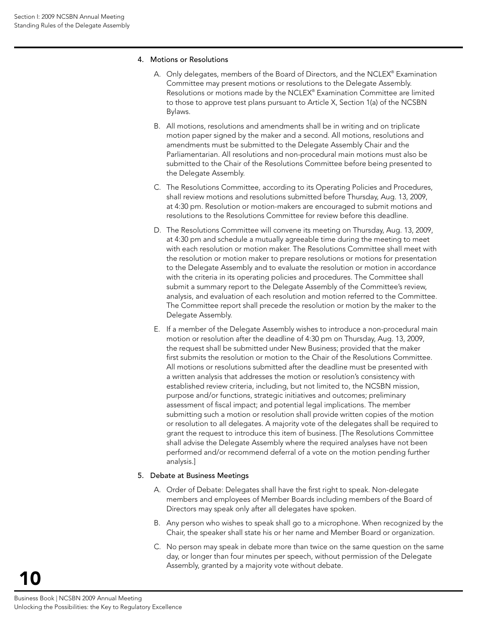#### 4. Motions or Resolutions

- A. Only delegates, members of the Board of Directors, and the NCLEX® Examination Committee may present motions or resolutions to the Delegate Assembly. Resolutions or motions made by the NCLEX® Examination Committee are limited to those to approve test plans pursuant to Article X, Section 1(a) of the NCSBN Bylaws.
- B. All motions, resolutions and amendments shall be in writing and on triplicate motion paper signed by the maker and a second. All motions, resolutions and amendments must be submitted to the Delegate Assembly Chair and the Parliamentarian. All resolutions and non-procedural main motions must also be submitted to the Chair of the Resolutions Committee before being presented to the Delegate Assembly.
- C. The Resolutions Committee, according to its Operating Policies and Procedures, shall review motions and resolutions submitted before Thursday, Aug. 13, 2009, at 4:30 pm. Resolution or motion-makers are encouraged to submit motions and resolutions to the Resolutions Committee for review before this deadline.
- D. The Resolutions Committee will convene its meeting on Thursday, Aug. 13, 2009, at 4:30 pm and schedule a mutually agreeable time during the meeting to meet with each resolution or motion maker. The Resolutions Committee shall meet with the resolution or motion maker to prepare resolutions or motions for presentation to the Delegate Assembly and to evaluate the resolution or motion in accordance with the criteria in its operating policies and procedures. The Committee shall submit a summary report to the Delegate Assembly of the Committee's review, analysis, and evaluation of each resolution and motion referred to the Committee. The Committee report shall precede the resolution or motion by the maker to the Delegate Assembly.
- E. If a member of the Delegate Assembly wishes to introduce a non-procedural main motion or resolution after the deadline of 4:30 pm on Thursday, Aug. 13, 2009, the request shall be submitted under New Business; provided that the maker first submits the resolution or motion to the Chair of the Resolutions Committee. All motions or resolutions submitted after the deadline must be presented with a written analysis that addresses the motion or resolution's consistency with established review criteria, including, but not limited to, the NCSBN mission, purpose and/or functions, strategic initiatives and outcomes; preliminary assessment of fiscal impact; and potential legal implications. The member submitting such a motion or resolution shall provide written copies of the motion or resolution to all delegates. A majority vote of the delegates shall be required to grant the request to introduce this item of business. [The Resolutions Committee shall advise the Delegate Assembly where the required analyses have not been performed and/or recommend deferral of a vote on the motion pending further analysis.]

#### 5. Debate at Business Meetings

- A. Order of Debate: Delegates shall have the first right to speak. Non-delegate members and employees of Member Boards including members of the Board of Directors may speak only after all delegates have spoken.
- B. Any person who wishes to speak shall go to a microphone. When recognized by the Chair, the speaker shall state his or her name and Member Board or organization.
- C. No person may speak in debate more than twice on the same question on the same day, or longer than four minutes per speech, without permission of the Delegate Assembly, granted by a majority vote without debate.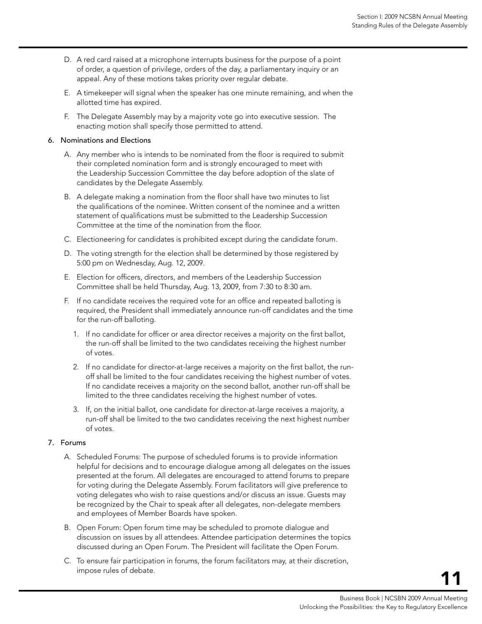- D. A red card raised at a microphone interrupts business for the purpose of a point of order, a question of privilege, orders of the day, a parliamentary inquiry or an appeal. Any of these motions takes priority over regular debate.
- E. A timekeeper will signal when the speaker has one minute remaining, and when the allotted time has expired.
- F. The Delegate Assembly may by a majority vote go into executive session. The enacting motion shall specify those permitted to attend.

#### 6. Nominations and Elections

- A. Any member who is intends to be nominated from the floor is required to submit their completed nomination form and is strongly encouraged to meet with the Leadership Succession Committee the day before adoption of the slate of candidates by the Delegate Assembly.
- B. A delegate making a nomination from the floor shall have two minutes to list the qualifications of the nominee. Written consent of the nominee and a written statement of qualifications must be submitted to the Leadership Succession Committee at the time of the nomination from the floor.
- C. Electioneering for candidates is prohibited except during the candidate forum.
- D. The voting strength for the election shall be determined by those registered by 5:00 pm on Wednesday, Aug. 12, 2009.
- E. Election for officers, directors, and members of the Leadership Succession Committee shall be held Thursday, Aug. 13, 2009, from 7:30 to 8:30 am.
- F. If no candidate receives the required vote for an office and repeated balloting is required, the President shall immediately announce run-off candidates and the time for the run-off balloting.
	- 1. If no candidate for officer or area director receives a majority on the first ballot, the run-off shall be limited to the two candidates receiving the highest number of votes.
	- 2. If no candidate for director-at-large receives a majority on the first ballot, the runoff shall be limited to the four candidates receiving the highest number of votes. If no candidate receives a majority on the second ballot, another run-off shall be limited to the three candidates receiving the highest number of votes.
	- 3. If, on the initial ballot, one candidate for director-at-large receives a majority, a run-off shall be limited to the two candidates receiving the next highest number of votes.

#### 7. Forums

- A. Scheduled Forums: The purpose of scheduled forums is to provide information helpful for decisions and to encourage dialogue among all delegates on the issues presented at the forum. All delegates are encouraged to attend forums to prepare for voting during the Delegate Assembly. Forum facilitators will give preference to voting delegates who wish to raise questions and/or discuss an issue. Guests may be recognized by the Chair to speak after all delegates, non-delegate members and employees of Member Boards have spoken.
- B. Open Forum: Open forum time may be scheduled to promote dialogue and discussion on issues by all attendees. Attendee participation determines the topics discussed during an Open Forum. The President will facilitate the Open Forum.
- C. To ensure fair participation in forums, the forum facilitators may, at their discretion, impose rules of debate.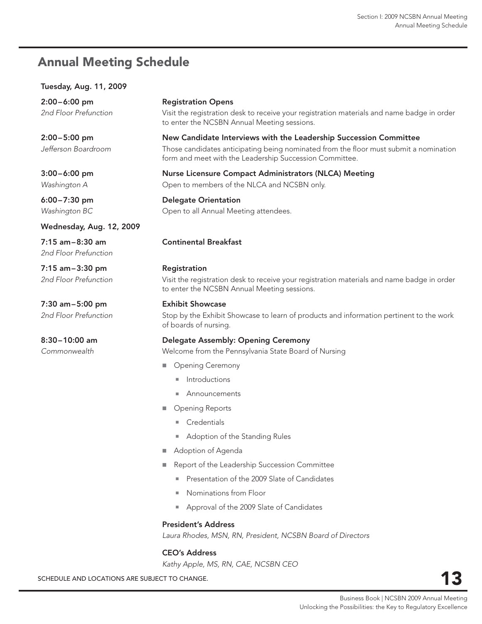# <span id="page-13-0"></span>**Annual Meeting Schedule**

#### **Tuesday, Aug. 11, 2009**

**2:00 – 6:00 pm** *2nd Floor Prefunction*

**2:00 – 5:00 pm** *Jefferson Boardroom*

**3:00 – 6:00 pm** *Washington A*

**6:00 – 7:30 pm** *Washington BC*

**Wednesday, Aug. 12, 2009**

**7:15 am – 8:30 am** *2nd Floor Prefunction*

**7:15 am – 3:30 pm** *2nd Floor Prefunction*

**7:30 am – 5:00 pm** *2nd Floor Prefunction*

**8:30 – 10:00 am** *Commonwealth*

#### **Registration Opens**

Visit the registration desk to receive your registration materials and name badge in order to enter the NCSBN Annual Meeting sessions.

#### **New Candidate Interviews with the Leadership Succession Committee**

Those candidates anticipating being nominated from the floor must submit a nomination form and meet with the Leadership Succession Committee.

#### **Nurse Licensure Compact Administrators (NLCA) Meeting** Open to members of the NLCA and NCSBN only.

**Delegate Orientation**

Open to all Annual Meeting attendees.

#### **Continental Breakfast**

#### **Registration**

Visit the registration desk to receive your registration materials and name badge in order to enter the NCSBN Annual Meeting sessions.

#### **Exhibit Showcase**

Stop by the Exhibit Showcase to learn of products and information pertinent to the work of boards of nursing.

#### **Delegate Assembly: Opening Ceremony**

Welcome from the Pennsylvania State Board of Nursing

- **Dening Ceremony** 
	- Introductions
	- Announcements
- Opening Reports
	- Credentials
	- **Adoption of the Standing Rules**
- Adoption of Agenda
- Report of the Leadership Succession Committee
	- **Presentation of the 2009 Slate of Candidates**
	- Nominations from Floor
	- Approval of the 2009 Slate of Candidates

#### **President's Address**

*Laura Rhodes, MSN, RN, President, NCSBN Board of Directors*

#### **CEO's Address**

*Kathy Apple, MS, RN, CAE, NCSBN CEO*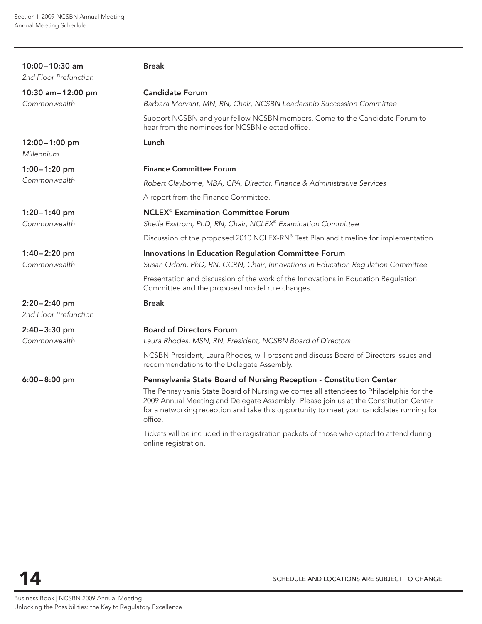| 10:00-10:30 am<br>2nd Floor Prefunction   | <b>Break</b>                                                                                                                                                                                                                                                                          |
|-------------------------------------------|---------------------------------------------------------------------------------------------------------------------------------------------------------------------------------------------------------------------------------------------------------------------------------------|
| 10:30 am-12:00 pm                         | <b>Candidate Forum</b>                                                                                                                                                                                                                                                                |
| Commonwealth                              | Barbara Morvant, MN, RN, Chair, NCSBN Leadership Succession Committee                                                                                                                                                                                                                 |
|                                           | Support NCSBN and your fellow NCSBN members. Come to the Candidate Forum to<br>hear from the nominees for NCSBN elected office.                                                                                                                                                       |
| 12:00-1:00 pm<br>Millennium               | Lunch                                                                                                                                                                                                                                                                                 |
| $1:00 - 1:20$ pm                          | <b>Finance Committee Forum</b>                                                                                                                                                                                                                                                        |
| Commonwealth                              | Robert Clayborne, MBA, CPA, Director, Finance & Administrative Services                                                                                                                                                                                                               |
|                                           | A report from the Finance Committee.                                                                                                                                                                                                                                                  |
| $1:20 - 1:40$ pm<br>Commonwealth          | <b>NCLEX<sup>®</sup> Examination Committee Forum</b><br>Sheila Exstrom, PhD, RN, Chair, NCLEX® Examination Committee                                                                                                                                                                  |
|                                           | Discussion of the proposed 2010 NCLEX-RN® Test Plan and timeline for implementation.                                                                                                                                                                                                  |
| $1:40 - 2:20$ pm<br>Commonwealth          | Innovations In Education Regulation Committee Forum<br>Susan Odom, PhD, RN, CCRN, Chair, Innovations in Education Regulation Committee                                                                                                                                                |
|                                           | Presentation and discussion of the work of the Innovations in Education Regulation<br>Committee and the proposed model rule changes.                                                                                                                                                  |
| $2:20 - 2:40$ pm<br>2nd Floor Prefunction | <b>Break</b>                                                                                                                                                                                                                                                                          |
| 2:40-3:30 pm                              | <b>Board of Directors Forum</b>                                                                                                                                                                                                                                                       |
| Commonwealth                              | Laura Rhodes, MSN, RN, President, NCSBN Board of Directors                                                                                                                                                                                                                            |
|                                           | NCSBN President, Laura Rhodes, will present and discuss Board of Directors issues and<br>recommendations to the Delegate Assembly.                                                                                                                                                    |
| $6:00 - 8:00$ pm                          | Pennsylvania State Board of Nursing Reception - Constitution Center                                                                                                                                                                                                                   |
|                                           | The Pennsylvania State Board of Nursing welcomes all attendees to Philadelphia for the<br>2009 Annual Meeting and Delegate Assembly. Please join us at the Constitution Center<br>for a networking reception and take this opportunity to meet your candidates running for<br>office. |
|                                           | Tickets will be included in the registration packets of those who opted to attend during                                                                                                                                                                                              |

online registration.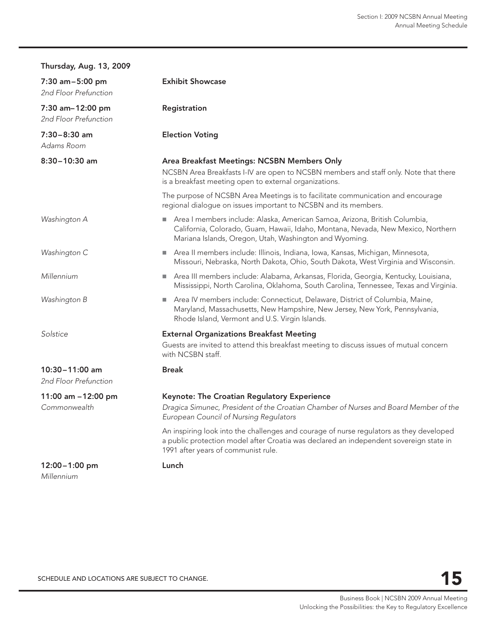| <b>Thursday, Aug. 13, 2009</b>              |                                                                                                                                                                                                                          |
|---------------------------------------------|--------------------------------------------------------------------------------------------------------------------------------------------------------------------------------------------------------------------------|
| 7:30 am-5:00 pm<br>2nd Floor Prefunction    | <b>Exhibit Showcase</b>                                                                                                                                                                                                  |
| 7:30 am-12:00 pm<br>2nd Floor Prefunction   | Registration                                                                                                                                                                                                             |
| $7:30 - 8:30$ am<br>Adams Room              | <b>Election Voting</b>                                                                                                                                                                                                   |
| $8:30 - 10:30$ am                           | Area Breakfast Meetings: NCSBN Members Only<br>NCSBN Area Breakfasts I-IV are open to NCSBN members and staff only. Note that there<br>is a breakfast meeting open to external organizations.                            |
|                                             | The purpose of NCSBN Area Meetings is to facilitate communication and encourage<br>regional dialogue on issues important to NCSBN and its members.                                                                       |
| Washington A                                | Area I members include: Alaska, American Samoa, Arizona, British Columbia,<br>California, Colorado, Guam, Hawaii, Idaho, Montana, Nevada, New Mexico, Northern<br>Mariana Islands, Oregon, Utah, Washington and Wyoming. |
| Washington C                                | Area II members include: Illinois, Indiana, Iowa, Kansas, Michigan, Minnesota,<br>Missouri, Nebraska, North Dakota, Ohio, South Dakota, West Virginia and Wisconsin.                                                     |
| Millennium                                  | Area III members include: Alabama, Arkansas, Florida, Georgia, Kentucky, Louisiana,<br>Mississippi, North Carolina, Oklahoma, South Carolina, Tennessee, Texas and Virginia.                                             |
| Washington B                                | Area IV members include: Connecticut, Delaware, District of Columbia, Maine,<br>Maryland, Massachusetts, New Hampshire, New Jersey, New York, Pennsylvania,<br>Rhode Island, Vermont and U.S. Virgin Islands.            |
| Solstice                                    | <b>External Organizations Breakfast Meeting</b><br>Guests are invited to attend this breakfast meeting to discuss issues of mutual concern<br>with NCSBN staff.                                                          |
| $10:30 - 11:00$ am<br>2nd Floor Prefunction | <b>Break</b>                                                                                                                                                                                                             |
| 11:00 am -12:00 pm<br>Commonwealth          | Keynote: The Croatian Regulatory Experience<br>Dragica Simunec, President of the Croatian Chamber of Nurses and Board Member of the<br>European Council of Nursing Regulators                                            |
|                                             | An inspiring look into the challenges and courage of nurse regulators as they developed<br>a public protection model after Croatia was declared an independent sovereign state in<br>1991 after years of communist rule. |
| 12:00-1:00 pm<br>Millennium                 | Lunch                                                                                                                                                                                                                    |

SCHEDULE AND LOCATIONS ARE SUBJECT TO CHANGE.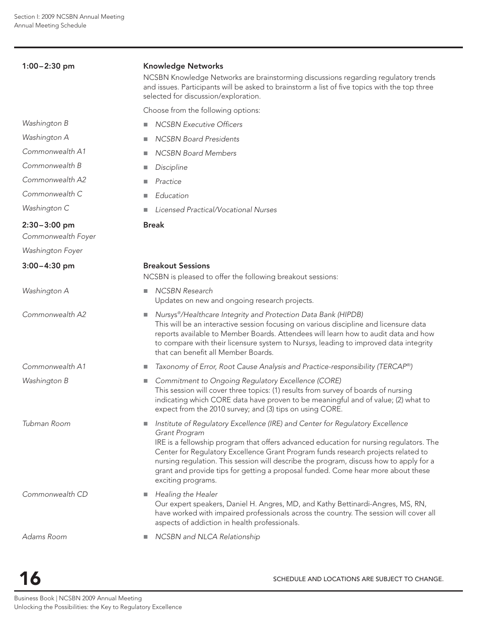| $1:00 - 2:30$ pm                     | <b>Knowledge Networks</b><br>NCSBN Knowledge Networks are brainstorming discussions regarding regulatory trends<br>and issues. Participants will be asked to brainstorm a list of five topics with the top three<br>selected for discussion/exploration.                                                                                                                                                                                                                               |
|--------------------------------------|----------------------------------------------------------------------------------------------------------------------------------------------------------------------------------------------------------------------------------------------------------------------------------------------------------------------------------------------------------------------------------------------------------------------------------------------------------------------------------------|
|                                      | Choose from the following options:                                                                                                                                                                                                                                                                                                                                                                                                                                                     |
| Washington B                         | <b>NCSBN Executive Officers</b><br>п                                                                                                                                                                                                                                                                                                                                                                                                                                                   |
| Washington A                         | <b>NCSBN Board Presidents</b><br>a.                                                                                                                                                                                                                                                                                                                                                                                                                                                    |
| Commonwealth A1                      | <b>NCSBN Board Members</b><br>п                                                                                                                                                                                                                                                                                                                                                                                                                                                        |
| Commonwealth B                       | Discipline<br>×.                                                                                                                                                                                                                                                                                                                                                                                                                                                                       |
| Commonwealth A2                      | Practice<br>ш                                                                                                                                                                                                                                                                                                                                                                                                                                                                          |
| Commonwealth C                       | Education<br>п                                                                                                                                                                                                                                                                                                                                                                                                                                                                         |
| Washington C                         | Licensed Practical/Vocational Nurses                                                                                                                                                                                                                                                                                                                                                                                                                                                   |
| $2:30-3:00$ pm<br>Commonwealth Foyer | <b>Break</b>                                                                                                                                                                                                                                                                                                                                                                                                                                                                           |
| Washington Foyer                     |                                                                                                                                                                                                                                                                                                                                                                                                                                                                                        |
| $3:00 - 4:30$ pm                     | <b>Breakout Sessions</b><br>NCSBN is pleased to offer the following breakout sessions:                                                                                                                                                                                                                                                                                                                                                                                                 |
| Washington A                         | NCSBN Research<br>ш<br>Updates on new and ongoing research projects.                                                                                                                                                                                                                                                                                                                                                                                                                   |
| Commonwealth A2                      | Nursys®/Healthcare Integrity and Protection Data Bank (HIPDB)<br>ш<br>This will be an interactive session focusing on various discipline and licensure data<br>reports available to Member Boards. Attendees will learn how to audit data and how<br>to compare with their licensure system to Nursys, leading to improved data integrity<br>that can benefit all Member Boards.                                                                                                       |
| Commonwealth A1                      | Taxonomy of Error, Root Cause Analysis and Practice-responsibility (TERCAP®)<br>ш                                                                                                                                                                                                                                                                                                                                                                                                      |
| Washington B                         | Commitment to Ongoing Regulatory Excellence (CORE)<br>ш<br>This session will cover three topics: (1) results from survey of boards of nursing<br>indicating which CORE data have proven to be meaningful and of value; (2) what to<br>expect from the 2010 survey; and (3) tips on using CORE.                                                                                                                                                                                         |
| Tubman Room                          | Institute of Regulatory Excellence (IRE) and Center for Regulatory Excellence<br>ш<br>Grant Program<br>IRE is a fellowship program that offers advanced education for nursing regulators. The<br>Center for Regulatory Excellence Grant Program funds research projects related to<br>nursing regulation. This session will describe the program, discuss how to apply for a<br>grant and provide tips for getting a proposal funded. Come hear more about these<br>exciting programs. |
| Commonwealth CD                      | Healing the Healer<br>a.<br>Our expert speakers, Daniel H. Angres, MD, and Kathy Bettinardi-Angres, MS, RN,<br>have worked with impaired professionals across the country. The session will cover all<br>aspects of addiction in health professionals.                                                                                                                                                                                                                                 |
| Adams Room                           | NCSBN and NLCA Relationship<br>ш                                                                                                                                                                                                                                                                                                                                                                                                                                                       |

SCHEDULE AND LOCATIONS ARE SUBJECT TO CHANGE.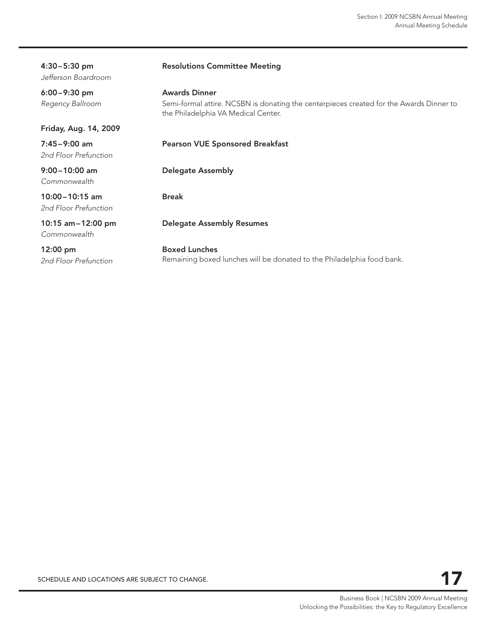| $4:30-5:30$ pm<br>Jefferson Boardroom       | <b>Resolutions Committee Meeting</b>                                                                                                                   |
|---------------------------------------------|--------------------------------------------------------------------------------------------------------------------------------------------------------|
| $6:00 - 9:30$ pm<br>Regency Ballroom        | <b>Awards Dinner</b><br>Semi-formal attire. NCSBN is donating the centerpieces created for the Awards Dinner to<br>the Philadelphia VA Medical Center. |
| Friday, Aug. 14, 2009                       |                                                                                                                                                        |
| $7:45-9:00$ am<br>2nd Floor Prefunction     | <b>Pearson VUE Sponsored Breakfast</b>                                                                                                                 |
| $9:00 - 10:00$ am<br>Commonwealth           | <b>Delegate Assembly</b>                                                                                                                               |
| $10:00 - 10:15$ am<br>2nd Floor Prefunction | <b>Break</b>                                                                                                                                           |
| 10:15 am-12:00 pm<br>Commonwealth           | <b>Delegate Assembly Resumes</b>                                                                                                                       |
| $12:00 \text{ pm}$<br>2nd Floor Prefunction | <b>Boxed Lunches</b><br>Remaining boxed lunches will be donated to the Philadelphia food bank.                                                         |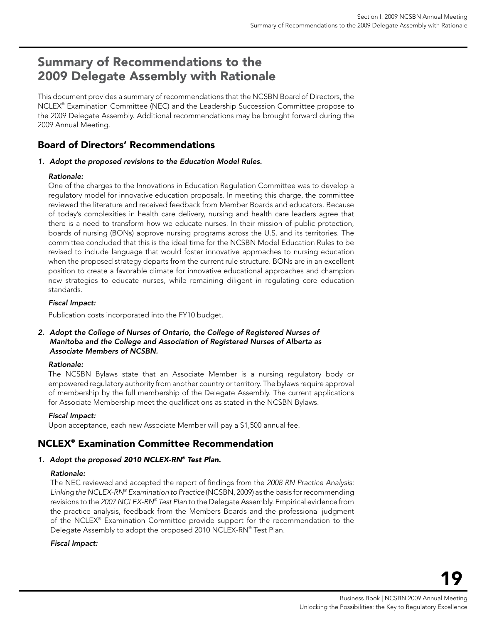# <span id="page-19-0"></span>Summary of Recommendations to the 2009 Delegate Assembly with Rationale

This document provides a summary of recommendations that the NCSBN Board of Directors, the NCLEX® Examination Committee (NEC) and the Leadership Succession Committee propose to the 2009 Delegate Assembly. Additional recommendations may be brought forward during the 2009 Annual Meeting.

## Board of Directors' Recommendations

#### *1. Adopt the proposed revisions to the Education Model Rules.*

#### *Rationale:*

One of the charges to the Innovations in Education Regulation Committee was to develop a regulatory model for innovative education proposals. In meeting this charge, the committee reviewed the literature and received feedback from Member Boards and educators. Because of today's complexities in health care delivery, nursing and health care leaders agree that there is a need to transform how we educate nurses. In their mission of public protection, boards of nursing (BONs) approve nursing programs across the U.S. and its territories. The committee concluded that this is the ideal time for the NCSBN Model Education Rules to be revised to include language that would foster innovative approaches to nursing education when the proposed strategy departs from the current rule structure. BONs are in an excellent position to create a favorable climate for innovative educational approaches and champion new strategies to educate nurses, while remaining diligent in regulating core education standards.

#### *Fiscal Impact:*

Publication costs incorporated into the FY10 budget.

#### *2. Adopt the College of Nurses of Ontario, the College of Registered Nurses of Manitoba and the College and Association of Registered Nurses of Alberta as Associate Members of NCSBN.*

#### *Rationale:*

The NCSBN Bylaws state that an Associate Member is a nursing regulatory body or empowered regulatory authority from another country or territory. The bylaws require approval of membership by the full membership of the Delegate Assembly. The current applications for Associate Membership meet the qualifications as stated in the NCSBN Bylaws.

#### *Fiscal Impact:*

Upon acceptance, each new Associate Member will pay a \$1,500 annual fee.

## NCLEX® Examination Committee Recommendation

#### *1. Adopt the proposed 2010 NCLEX-RN® Test Plan.*

#### *Rationale:*

The NEC reviewed and accepted the report of findings from the *2008 RN Practice Analysis: Linking the NCLEX-RN® Examination to Practice* (NCSBN, 2009) as the basis for recommending revisions to the *2007 NCLEX-RN® Test Plan* to the Delegate Assembly. Empirical evidence from the practice analysis, feedback from the Members Boards and the professional judgment of the NCLEX® Examination Committee provide support for the recommendation to the Delegate Assembly to adopt the proposed 2010 NCLEX-RN® Test Plan.

#### *Fiscal Impact:*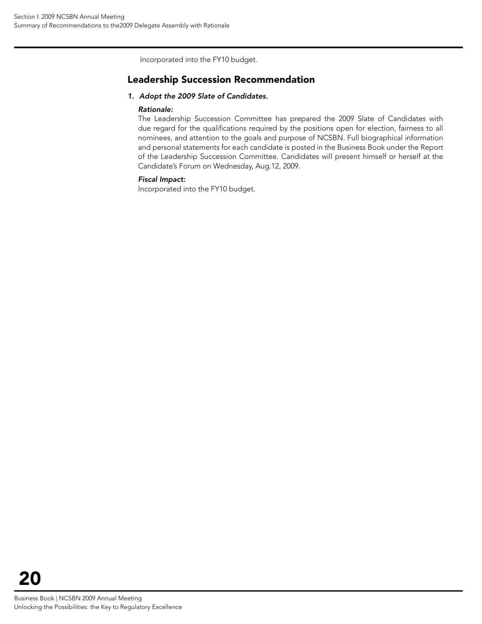Incorporated into the FY10 budget.

### Leadership Succession Recommendation

#### *1. Adopt the 2009 Slate of Candidates.*

#### *Rationale:*

The Leadership Succession Committee has prepared the 2009 Slate of Candidates with due regard for the qualifications required by the positions open for election, fairness to all nominees, and attention to the goals and purpose of NCSBN. Full biographical information and personal statements for each candidate is posted in the Business Book under the Report of the Leadership Succession Committee. Candidates will present himself or herself at the Candidate's Forum on Wednesday, Aug.12, 2009.

#### *Fiscal Impact:*

Incorporated into the FY10 budget.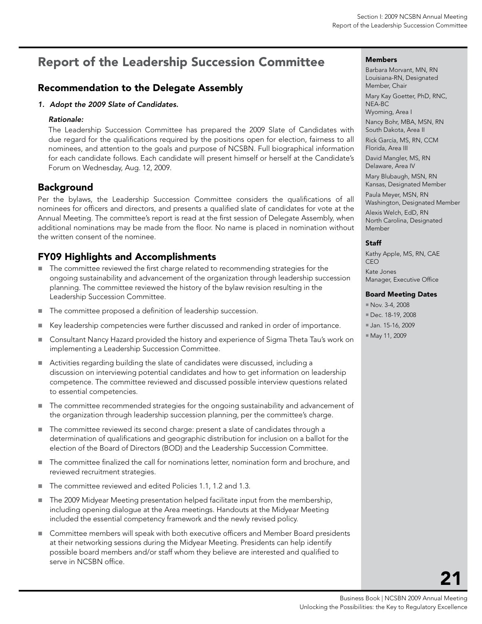# <span id="page-21-0"></span>Report of the Leadership Succession Committee

## Recommendation to the Delegate Assembly

#### *1. Adopt the 2009 Slate of Candidates.*

#### *Rationale:*

The Leadership Succession Committee has prepared the 2009 Slate of Candidates with due regard for the qualifications required by the positions open for election, fairness to all nominees, and attention to the goals and purpose of NCSBN. Full biographical information for each candidate follows. Each candidate will present himself or herself at the Candidate's Forum on Wednesday, Aug. 12, 2009.

## Background

Per the bylaws, the Leadership Succession Committee considers the qualifications of all nominees for officers and directors, and presents a qualified slate of candidates for vote at the Annual Meeting. The committee's report is read at the first session of Delegate Assembly, when additional nominations may be made from the floor. No name is placed in nomination without the written consent of the nominee.

## FY09 Highlights and Accomplishments

- The committee reviewed the first charge related to recommending strategies for the ongoing sustainability and advancement of the organization through leadership succession planning. The committee reviewed the history of the bylaw revision resulting in the Leadership Succession Committee.
- The committee proposed a definition of leadership succession.
- Key leadership competencies were further discussed and ranked in order of importance.
- **Consultant Nancy Hazard provided the history and experience of Sigma Theta Tau's work on** implementing a Leadership Succession Committee.
- Activities regarding building the slate of candidates were discussed, including a discussion on interviewing potential candidates and how to get information on leadership competence. The committee reviewed and discussed possible interview questions related to essential competencies.
- The committee recommended strategies for the ongoing sustainability and advancement of the organization through leadership succession planning, per the committee's charge.
- The committee reviewed its second charge: present a slate of candidates through a determination of qualifications and geographic distribution for inclusion on a ballot for the election of the Board of Directors (BOD) and the Leadership Succession Committee.
- The committee finalized the call for nominations letter, nomination form and brochure, and reviewed recruitment strategies.
- The committee reviewed and edited Policies 1.1, 1.2 and 1.3.
- The 2009 Midyear Meeting presentation helped facilitate input from the membership, including opening dialogue at the Area meetings. Handouts at the Midyear Meeting included the essential competency framework and the newly revised policy.
- **Committee members will speak with both executive officers and Member Board presidents** at their networking sessions during the Midyear Meeting. Presidents can help identify possible board members and/or staff whom they believe are interested and qualified to serve in NCSBN office.

#### Members

Barbara Morvant, MN, RN Louisiana-RN, Designated Member, Chair Mary Kay Goetter, PhD, RNC, NEA-BC Wyoming, Area I Nancy Bohr, MBA, MSN, RN South Dakota, Area II Rick García, MS, RN, CCM Florida, Area III David Mangler, MS, RN Delaware, Area IV Mary Blubaugh, MSN, RN Kansas, Designated Member Paula Meyer, MSN, RN Washington, Designated Member Alexis Welch, EdD, RN North Carolina, Designated Member

#### **Staff**

Kathy Apple, MS, RN, CAE CEO Kate Jones Manager, Executive Office

#### Board Meeting Dates

- Nov. 3-4, 2008
- Dec. 18-19, 2008
- Jan. 15-16, 2009
- May 11, 2009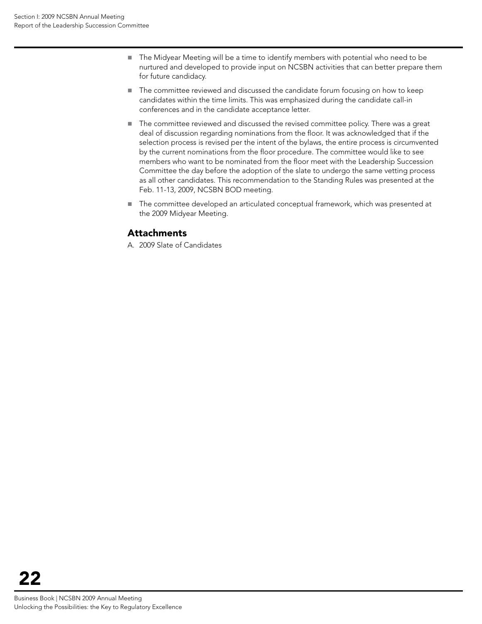- The Midyear Meeting will be a time to identify members with potential who need to be nurtured and developed to provide input on NCSBN activities that can better prepare them for future candidacy.
- The committee reviewed and discussed the candidate forum focusing on how to keep candidates within the time limits. This was emphasized during the candidate call-in conferences and in the candidate acceptance letter.
- The committee reviewed and discussed the revised committee policy. There was a great deal of discussion regarding nominations from the floor. It was acknowledged that if the selection process is revised per the intent of the bylaws, the entire process is circumvented by the current nominations from the floor procedure. The committee would like to see members who want to be nominated from the floor meet with the Leadership Succession Committee the day before the adoption of the slate to undergo the same vetting process as all other candidates. This recommendation to the Standing Rules was presented at the Feb. 11-13, 2009, NCSBN BOD meeting.
- The committee developed an articulated conceptual framework, which was presented at the 2009 Midyear Meeting.

## Attachments

A. 2009 Slate of Candidates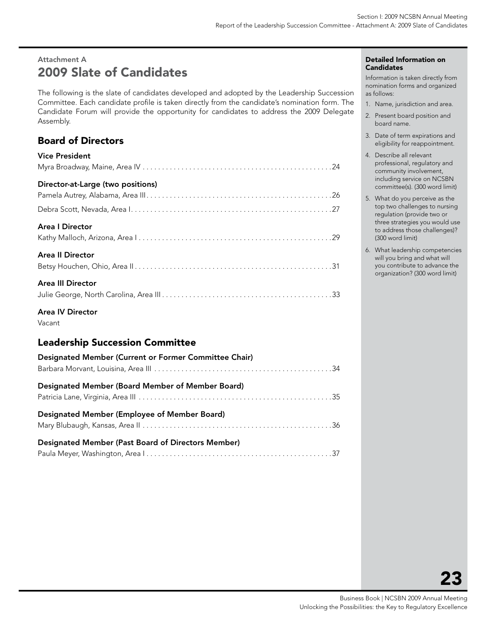# <span id="page-23-0"></span>Attachment A 2009 Slate of Candidates

The following is the slate of candidates developed and adopted by the Leadership Succession Committee. Each candidate profile is taken directly from the candidate's nomination form. The Candidate Forum will provide the opportunity for candidates to address the 2009 Delegate Assembly.

## Board of Directors

| <b>Vice President</b>             |
|-----------------------------------|
|                                   |
| Director-at-Large (two positions) |
|                                   |
|                                   |
| <b>Area   Director</b>            |
|                                   |
| <b>Area II Director</b>           |
|                                   |
| <b>Area III Director</b>          |
|                                   |
|                                   |

Area IV Director

Vacant

## Leadership Succession Committee

| Designated Member (Current or Former Committee Chair)     |  |
|-----------------------------------------------------------|--|
| Designated Member (Board Member of Member Board)          |  |
| Designated Member (Employee of Member Board)              |  |
| <b>Designated Member (Past Board of Directors Member)</b> |  |

#### Detailed Information on **Candidates**

Information is taken directly from nomination forms and organized as follows:

- 1. Name, jurisdiction and area.
- 2. Present board position and board name.
- 3. Date of term expirations and eligibility for reappointment.
- 4. Describe all relevant professional, regulatory and community involvement, including service on NCSBN committee(s). (300 word limit)
- 5. What do you perceive as the top two challenges to nursing regulation (provide two or three strategies you would use to address those challenges)? (300 word limit)
- 6. What leadership competencies will you bring and what will you contribute to advance the organization? (300 word limit)

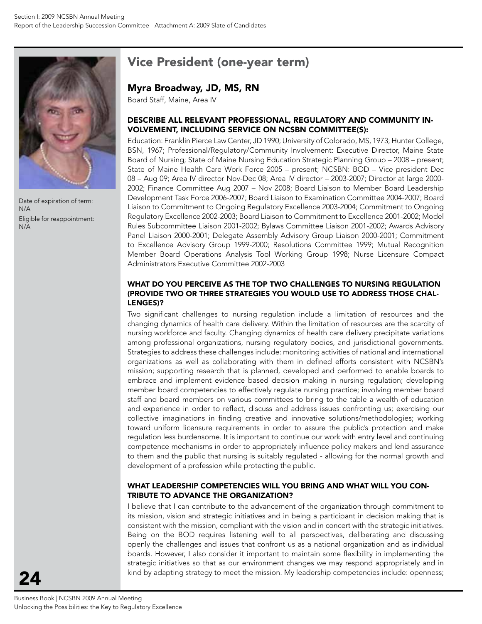

Date of expiration of term: N/A Eligible for reappointment: N/A

# Vice President (one-year term)

### Myra Broadway, JD, MS, RN

Board Staff, Maine, Area IV

#### Describe all relevant professional, regulatory and community involvement, including service on NCSBN committee(s):

Education: Franklin Pierce Law Center, JD 1990; University of Colorado, MS, 1973; Hunter College, BSN, 1967; Professional/Regulatory/Community Involvement: Executive Director, Maine State Board of Nursing; State of Maine Nursing Education Strategic Planning Group – 2008 – present; State of Maine Health Care Work Force 2005 – present; NCSBN: BOD – Vice president Dec 08 – Aug 09; Area IV director Nov-Dec 08; Area IV director – 2003-2007; Director at large 2000- 2002; Finance Committee Aug 2007 – Nov 2008; Board Liaison to Member Board Leadership Development Task Force 2006-2007; Board Liaison to Examination Committee 2004-2007; Board Liaison to Commitment to Ongoing Regulatory Excellence 2003-2004; Commitment to Ongoing Regulatory Excellence 2002-2003; Board Liaison to Commitment to Excellence 2001-2002; Model Rules Subcommittee Liaison 2001-2002; Bylaws Committee Liaison 2001-2002; Awards Advisory Panel Liaison 2000-2001; Delegate Assembly Advisory Group Liaison 2000-2001; Commitment to Excellence Advisory Group 1999-2000; Resolutions Committee 1999; Mutual Recognition Member Board Operations Analysis Tool Working Group 1998; Nurse Licensure Compact Administrators Executive Committee 2002-2003

#### WHAT DO YOU PERCEIVE AS THE TOP TWO CHALLENGES TO NURSING REGULATION (provide two or three strategies you would use to address those challenges)?

Two significant challenges to nursing regulation include a limitation of resources and the changing dynamics of health care delivery. Within the limitation of resources are the scarcity of nursing workforce and faculty. Changing dynamics of health care delivery precipitate variations among professional organizations, nursing regulatory bodies, and jurisdictional governments. Strategies to address these challenges include: monitoring activities of national and international organizations as well as collaborating with them in defined efforts consistent with NCSBN's mission; supporting research that is planned, developed and performed to enable boards to embrace and implement evidence based decision making in nursing regulation; developing member board competencies to effectively regulate nursing practice; involving member board staff and board members on various committees to bring to the table a wealth of education and experience in order to reflect, discuss and address issues confronting us; exercising our collective imaginations in finding creative and innovative solutions/methodologies; working toward uniform licensure requirements in order to assure the public's protection and make regulation less burdensome. It is important to continue our work with entry level and continuing competence mechanisms in order to appropriately influence policy makers and lend assurance to them and the public that nursing is suitably regulated - allowing for the normal growth and development of a profession while protecting the public.

#### What leadership competencies will you bring and what will you contribute to advance the organization?

I believe that I can contribute to the advancement of the organization through commitment to its mission, vision and strategic initiatives and in being a participant in decision making that is consistent with the mission, compliant with the vision and in concert with the strategic initiatives. Being on the BOD requires listening well to all perspectives, deliberating and discussing openly the challenges and issues that confront us as a national organization and as individual boards. However, I also consider it important to maintain some flexibility in implementing the strategic initiatives so that as our environment changes we may respond appropriately and in kind by adapting strategy to meet the mission. My leadership competencies include: openness;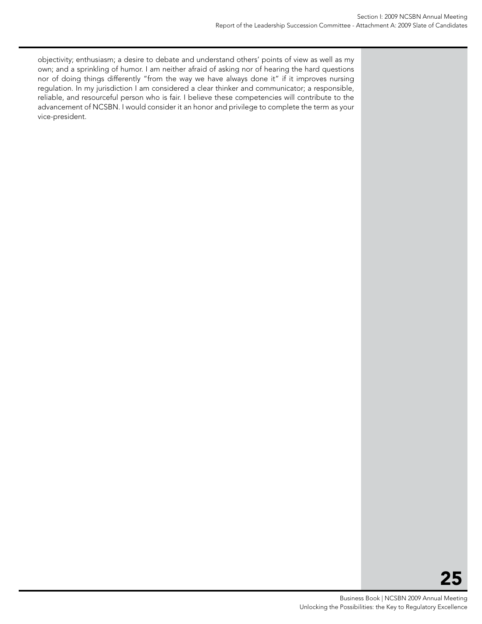objectivity; enthusiasm; a desire to debate and understand others' points of view as well as my own; and a sprinkling of humor. I am neither afraid of asking nor of hearing the hard questions nor of doing things differently "from the way we have always done it" if it improves nursing regulation. In my jurisdiction I am considered a clear thinker and communicator; a responsible, reliable, and resourceful person who is fair. I believe these competencies will contribute to the advancement of NCSBN. I would consider it an honor and privilege to complete the term as your vice-president.

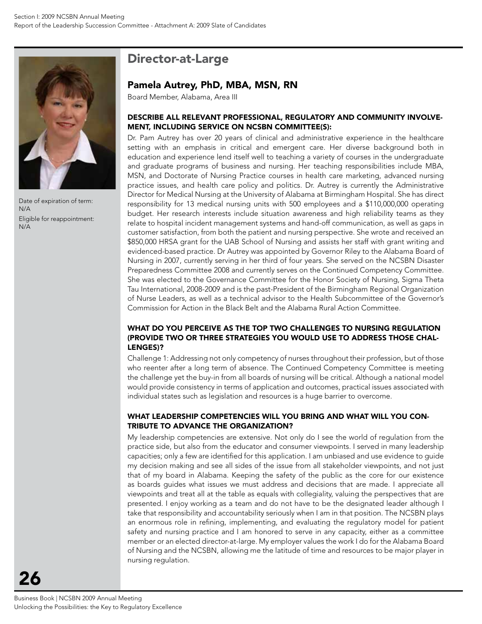

Date of expiration of term: N/A Eligible for reappointment: N/A

# Director-at-Large

### Pamela Autrey, PhD, MBA, MSN, RN

Board Member, Alabama, Area III

#### Describe all relevant professional, regulatory and community involvement, including service on NCSBN committee(s):

Dr. Pam Autrey has over 20 years of clinical and administrative experience in the healthcare setting with an emphasis in critical and emergent care. Her diverse background both in education and experience lend itself well to teaching a variety of courses in the undergraduate and graduate programs of business and nursing. Her teaching responsibilities include MBA, MSN, and Doctorate of Nursing Practice courses in health care marketing, advanced nursing practice issues, and health care policy and politics. Dr. Autrey is currently the Administrative Director for Medical Nursing at the University of Alabama at Birmingham Hospital. She has direct responsibility for 13 medical nursing units with 500 employees and a \$110,000,000 operating budget. Her research interests include situation awareness and high reliability teams as they relate to hospital incident management systems and hand-off communication, as well as gaps in customer satisfaction, from both the patient and nursing perspective. She wrote and received an \$850,000 HRSA grant for the UAB School of Nursing and assists her staff with grant writing and evidenced-based practice. Dr Autrey was appointed by Governor Riley to the Alabama Board of Nursing in 2007, currently serving in her third of four years. She served on the NCSBN Disaster Preparedness Committee 2008 and currently serves on the Continued Competency Committee. She was elected to the Governance Committee for the Honor Society of Nursing, Sigma Theta Tau International, 2008-2009 and is the past-President of the Birmingham Regional Organization of Nurse Leaders, as well as a technical advisor to the Health Subcommittee of the Governor's Commission for Action in the Black Belt and the Alabama Rural Action Committee.

#### What do you perceive as the top two challenges to nursing regulation (provide two or three strategies you would use to address those challenges)?

Challenge 1: Addressing not only competency of nurses throughout their profession, but of those who reenter after a long term of absence. The Continued Competency Committee is meeting the challenge yet the buy-in from all boards of nursing will be critical. Although a national model would provide consistency in terms of application and outcomes, practical issues associated with individual states such as legislation and resources is a huge barrier to overcome.

#### What leadership competencies will you bring and what will you contribute to advance the organization?

My leadership competencies are extensive. Not only do I see the world of regulation from the practice side, but also from the educator and consumer viewpoints. I served in many leadership capacities; only a few are identified for this application. I am unbiased and use evidence to guide my decision making and see all sides of the issue from all stakeholder viewpoints, and not just that of my board in Alabama. Keeping the safety of the public as the core for our existence as boards guides what issues we must address and decisions that are made. I appreciate all viewpoints and treat all at the table as equals with collegiality, valuing the perspectives that are presented. I enjoy working as a team and do not have to be the designated leader although I take that responsibility and accountability seriously when I am in that position. The NCSBN plays an enormous role in refining, implementing, and evaluating the regulatory model for patient safety and nursing practice and I am honored to serve in any capacity, either as a committee member or an elected director-at-large. My employer values the work I do for the Alabama Board of Nursing and the NCSBN, allowing me the latitude of time and resources to be major player in nursing regulation.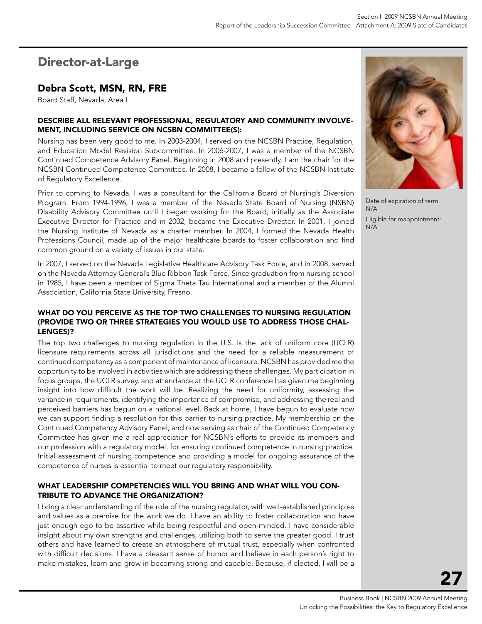# Director-at-Large

## Debra Scott, MSN, RN, FRE

Board Staff, Nevada, Area I

#### Describe all relevant professional, regulatory and community involvement, including service on NCSBN committee(s):

Nursing has been very good to me. In 2003-2004, I served on the NCSBN Practice, Regulation, and Education Model Revision Subcommittee. In 2006-2007, I was a member of the NCSBN Continued Competence Advisory Panel. Beginning in 2008 and presently, I am the chair for the NCSBN Continued Competence Committee. In 2008, I became a fellow of the NCSBN Institute of Regulatory Excellence.

Prior to coming to Nevada, I was a consultant for the California Board of Nursing's Diversion Program. From 1994-1996, I was a member of the Nevada State Board of Nursing (NSBN) Disability Advisory Committee until I began working for the Board, initially as the Associate Executive Director for Practice and in 2002, became the Executive Director. In 2001, I joined the Nursing Institute of Nevada as a charter member. In 2004, I formed the Nevada Health Professions Council, made up of the major healthcare boards to foster collaboration and find common ground on a variety of issues in our state.

In 2007, I served on the Nevada Legislative Healthcare Advisory Task Force, and in 2008, served on the Nevada Attorney General's Blue Ribbon Task Force. Since graduation from nursing school in 1985, I have been a member of Sigma Theta Tau International and a member of the Alumni Association, California State University, Fresno.

#### WHAT DO YOU PERCEIVE AS THE TOP TWO CHALLENGES TO NURSING REGULATION (provide two or three strategies you would use to address those chal-LENGES)?

The top two challenges to nursing regulation in the U.S. is the lack of uniform core (UCLR) licensure requirements across all jurisdictions and the need for a reliable measurement of continued competency as a component of maintenance of licensure. NCSBN has provided me the opportunity to be involved in activities which are addressing these challenges. My participation in focus groups, the UCLR survey, and attendance at the UCLR conference has given me beginning insight into how difficult the work will be. Realizing the need for uniformity, assessing the variance in requirements, identifying the importance of compromise, and addressing the real and perceived barriers has begun on a national level. Back at home, I have begun to evaluate how we can support finding a resolution for this barrier to nursing practice. My membership on the Continued Competency Advisory Panel, and now serving as chair of the Continued Competency Committee has given me a real appreciation for NCSBN's efforts to provide its members and our profession with a regulatory model, for ensuring continued competence in nursing practice. Initial assessment of nursing competence and providing a model for ongoing assurance of the competence of nurses is essential to meet our regulatory responsibility.

#### What leadership competencies will you bring and what will you contribute to advance the organization?

I bring a clear understanding of the role of the nursing regulator, with well-established principles and values as a premise for the work we do. I have an ability to foster collaboration and have just enough ego to be assertive while being respectful and open-minded. I have considerable insight about my own strengths and challenges, utilizing both to serve the greater good. I trust others and have learned to create an atmosphere of mutual trust, especially when confronted with difficult decisions. I have a pleasant sense of humor and believe in each person's right to make mistakes, learn and grow in becoming strong and capable. Because, if elected, I will be a



Date of expiration of term: N/A

Eligible for reappointment: N/A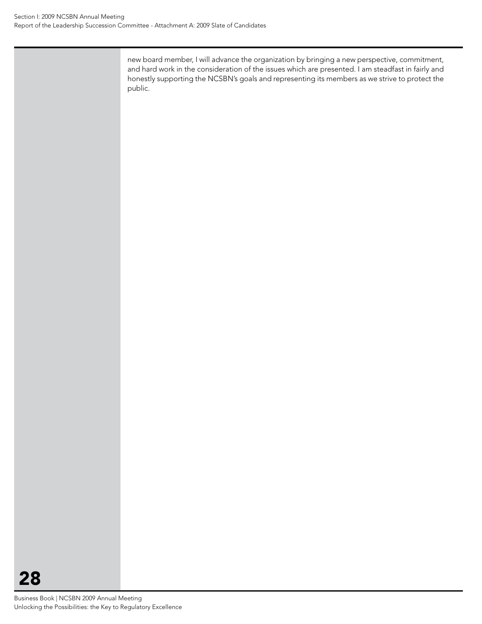new board member, I will advance the organization by bringing a new perspective, commitment, and hard work in the consideration of the issues which are presented. I am steadfast in fairly and honestly supporting the NCSBN's goals and representing its members as we strive to protect the public.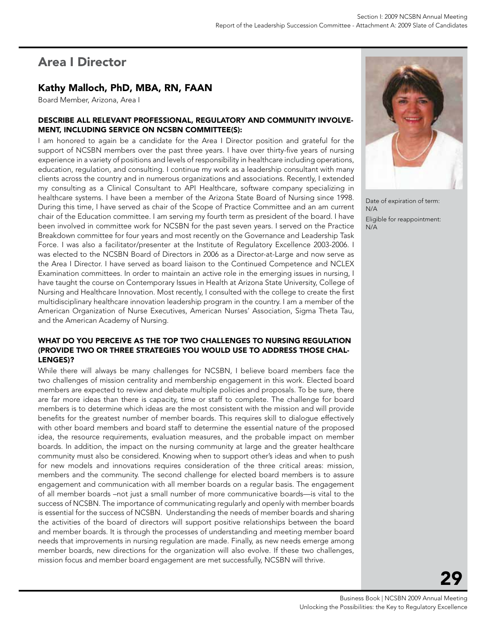# Area I Director

## Kathy Malloch, PhD, MBA, RN, FAAN

Board Member, Arizona, Area I

#### Describe all relevant professional, regulatory and community involvement, including service on NCSBN committee(s):

I am honored to again be a candidate for the Area I Director position and grateful for the support of NCSBN members over the past three years. I have over thirty-five years of nursing experience in a variety of positions and levels of responsibility in healthcare including operations, education, regulation, and consulting. I continue my work as a leadership consultant with many clients across the country and in numerous organizations and associations. Recently, I extended my consulting as a Clinical Consultant to API Healthcare, software company specializing in healthcare systems. I have been a member of the Arizona State Board of Nursing since 1998. During this time, I have served as chair of the Scope of Practice Committee and an am current chair of the Education committee. I am serving my fourth term as president of the board. I have been involved in committee work for NCSBN for the past seven years. I served on the Practice Breakdown committee for four years and most recently on the Governance and Leadership Task Force. I was also a facilitator/presenter at the Institute of Regulatory Excellence 2003-2006. I was elected to the NCSBN Board of Directors in 2006 as a Director-at-Large and now serve as the Area I Director. I have served as board liaison to the Continued Competence and NCLEX Examination committees. In order to maintain an active role in the emerging issues in nursing, I have taught the course on Contemporary Issues in Health at Arizona State University, College of Nursing and Healthcare Innovation. Most recently, I consulted with the college to create the first multidisciplinary healthcare innovation leadership program in the country. I am a member of the American Organization of Nurse Executives, American Nurses' Association, Sigma Theta Tau, and the American Academy of Nursing.

#### WHAT DO YOU PERCEIVE AS THE TOP TWO CHALLENGES TO NURSING REGULATION (provide two or three strategies you would use to address those challenges)?

While there will always be many challenges for NCSBN, I believe board members face the two challenges of mission centrality and membership engagement in this work. Elected board members are expected to review and debate multiple policies and proposals. To be sure, there are far more ideas than there is capacity, time or staff to complete. The challenge for board members is to determine which ideas are the most consistent with the mission and will provide benefits for the greatest number of member boards. This requires skill to dialogue effectively with other board members and board staff to determine the essential nature of the proposed idea, the resource requirements, evaluation measures, and the probable impact on member boards. In addition, the impact on the nursing community at large and the greater healthcare community must also be considered. Knowing when to support other's ideas and when to push for new models and innovations requires consideration of the three critical areas: mission, members and the community. The second challenge for elected board members is to assure engagement and communication with all member boards on a regular basis. The engagement of all member boards –not just a small number of more communicative boards—is vital to the success of NCSBN. The importance of communicating regularly and openly with member boards is essential for the success of NCSBN. Understanding the needs of member boards and sharing the activities of the board of directors will support positive relationships between the board and member boards. It is through the processes of understanding and meeting member board needs that improvements in nursing regulation are made. Finally, as new needs emerge among member boards, new directions for the organization will also evolve. If these two challenges, mission focus and member board engagement are met successfully, NCSBN will thrive.



Date of expiration of term: N/A

Eligible for reappointment: N/A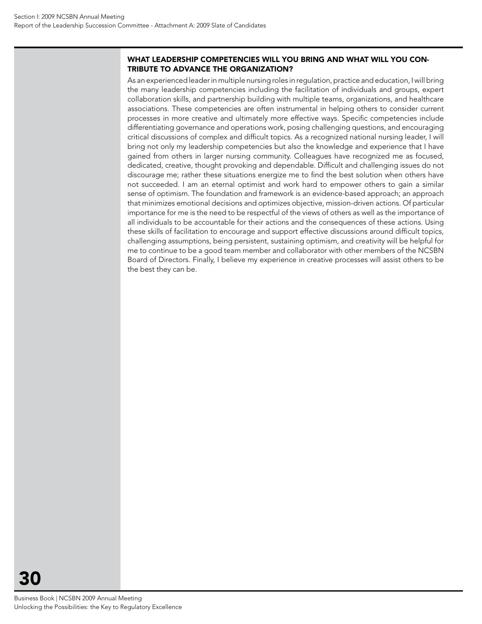#### What leadership competencies will you bring and what will you contribute to advance the organization?

As an experienced leader in multiple nursing roles in regulation, practice and education, I will bring the many leadership competencies including the facilitation of individuals and groups, expert collaboration skills, and partnership building with multiple teams, organizations, and healthcare associations. These competencies are often instrumental in helping others to consider current processes in more creative and ultimately more effective ways. Specific competencies include differentiating governance and operations work, posing challenging questions, and encouraging critical discussions of complex and difficult topics. As a recognized national nursing leader, I will bring not only my leadership competencies but also the knowledge and experience that I have gained from others in larger nursing community. Colleagues have recognized me as focused, dedicated, creative, thought provoking and dependable. Difficult and challenging issues do not discourage me; rather these situations energize me to find the best solution when others have not succeeded. I am an eternal optimist and work hard to empower others to gain a similar sense of optimism. The foundation and framework is an evidence-based approach; an approach that minimizes emotional decisions and optimizes objective, mission-driven actions. Of particular importance for me is the need to be respectful of the views of others as well as the importance of all individuals to be accountable for their actions and the consequences of these actions. Using these skills of facilitation to encourage and support effective discussions around difficult topics, challenging assumptions, being persistent, sustaining optimism, and creativity will be helpful for me to continue to be a good team member and collaborator with other members of the NCSBN Board of Directors. Finally, I believe my experience in creative processes will assist others to be the best they can be.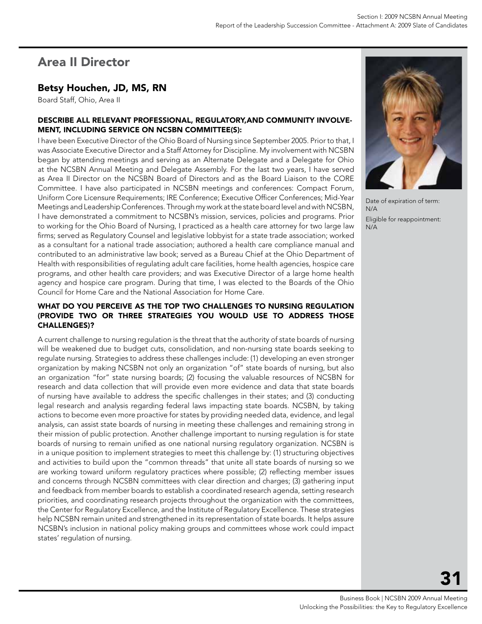# Area II Director

## Betsy Houchen, JD, MS, RN

Board Staff, Ohio, Area II

#### Describe all relevant professional, regulatory,and community involvement, including service on NCSBN committee(s):

I have been Executive Director of the Ohio Board of Nursing since September 2005. Prior to that, I was Associate Executive Director and a Staff Attorney for Discipline. My involvement with NCSBN began by attending meetings and serving as an Alternate Delegate and a Delegate for Ohio at the NCSBN Annual Meeting and Delegate Assembly. For the last two years, I have served as Area II Director on the NCSBN Board of Directors and as the Board Liaison to the CORE Committee. I have also participated in NCSBN meetings and conferences: Compact Forum, Uniform Core Licensure Requirements; IRE Conference; Executive Officer Conferences; Mid-Year Meetings and Leadership Conferences. Through my work at the state board level and with NCSBN, I have demonstrated a commitment to NCSBN's mission, services, policies and programs. Prior to working for the Ohio Board of Nursing, I practiced as a health care attorney for two large law firms; served as Regulatory Counsel and legislative lobbyist for a state trade association; worked as a consultant for a national trade association; authored a health care compliance manual and contributed to an administrative law book; served as a Bureau Chief at the Ohio Department of Health with responsibilities of regulating adult care facilities, home health agencies, hospice care programs, and other health care providers; and was Executive Director of a large home health agency and hospice care program. During that time, I was elected to the Boards of the Ohio Council for Home Care and the National Association for Home Care.

#### What do you perceive as the top two challenges to nursing regulation (provide two or three strategies you would use to address those challenges)?

A current challenge to nursing regulation is the threat that the authority of state boards of nursing will be weakened due to budget cuts, consolidation, and non-nursing state boards seeking to regulate nursing. Strategies to address these challenges include: (1) developing an even stronger organization by making NCSBN not only an organization "of" state boards of nursing, but also an organization "for" state nursing boards; (2) focusing the valuable resources of NCSBN for research and data collection that will provide even more evidence and data that state boards of nursing have available to address the specific challenges in their states; and (3) conducting legal research and analysis regarding federal laws impacting state boards. NCSBN, by taking actions to become even more proactive for states by providing needed data, evidence, and legal analysis, can assist state boards of nursing in meeting these challenges and remaining strong in their mission of public protection. Another challenge important to nursing regulation is for state boards of nursing to remain unified as one national nursing regulatory organization. NCSBN is in a unique position to implement strategies to meet this challenge by: (1) structuring objectives and activities to build upon the "common threads" that unite all state boards of nursing so we are working toward uniform regulatory practices where possible; (2) reflecting member issues and concerns through NCSBN committees with clear direction and charges; (3) gathering input and feedback from member boards to establish a coordinated research agenda, setting research priorities, and coordinating research projects throughout the organization with the committees, the Center for Regulatory Excellence, and the Institute of Regulatory Excellence. These strategies help NCSBN remain united and strengthened in its representation of state boards. It helps assure NCSBN's inclusion in national policy making groups and committees whose work could impact states' regulation of nursing.



Date of expiration of term: N/A

Eligible for reappointment: N/A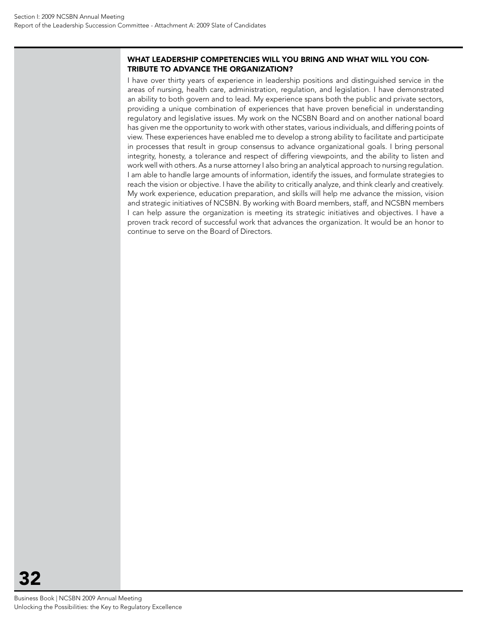#### What leadership competencies will you bring and what will you contribute to advance the organization?

I have over thirty years of experience in leadership positions and distinguished service in the areas of nursing, health care, administration, regulation, and legislation. I have demonstrated an ability to both govern and to lead. My experience spans both the public and private sectors, providing a unique combination of experiences that have proven beneficial in understanding regulatory and legislative issues. My work on the NCSBN Board and on another national board has given me the opportunity to work with other states, various individuals, and differing points of view. These experiences have enabled me to develop a strong ability to facilitate and participate in processes that result in group consensus to advance organizational goals. I bring personal integrity, honesty, a tolerance and respect of differing viewpoints, and the ability to listen and work well with others. As a nurse attorney I also bring an analytical approach to nursing regulation. I am able to handle large amounts of information, identify the issues, and formulate strategies to reach the vision or objective. I have the ability to critically analyze, and think clearly and creatively. My work experience, education preparation, and skills will help me advance the mission, vision and strategic initiatives of NCSBN. By working with Board members, staff, and NCSBN members I can help assure the organization is meeting its strategic initiatives and objectives. I have a proven track record of successful work that advances the organization. It would be an honor to continue to serve on the Board of Directors.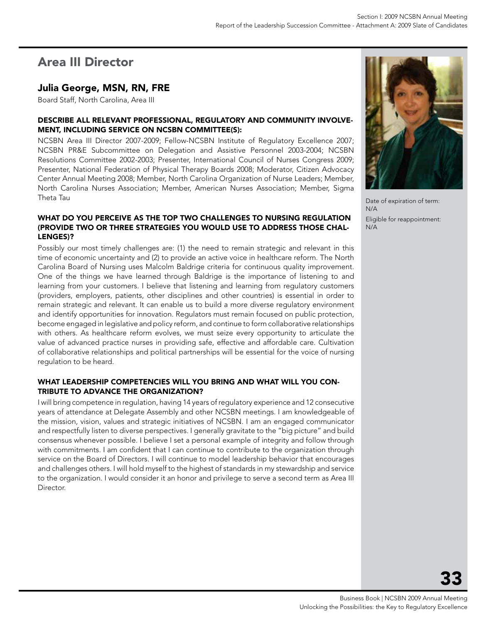# Area III Director

### Julia George, MSN, RN, FRE

Board Staff, North Carolina, Area III

#### Describe all relevant professional, regulatory and community involvement, including service on NCSBN committee(s):

NCSBN Area III Director 2007-2009; Fellow-NCSBN Institute of Regulatory Excellence 2007; NCSBN PR&E Subcommittee on Delegation and Assistive Personnel 2003-2004; NCSBN Resolutions Committee 2002-2003; Presenter, International Council of Nurses Congress 2009; Presenter, National Federation of Physical Therapy Boards 2008; Moderator, Citizen Advocacy Center Annual Meeting 2008; Member, North Carolina Organization of Nurse Leaders; Member, North Carolina Nurses Association; Member, American Nurses Association; Member, Sigma Theta Tau

#### What do you perceive as the top two challenges to nursing regulation (provide two or three strategies you would use to address those challenges)?

Possibly our most timely challenges are: (1) the need to remain strategic and relevant in this time of economic uncertainty and (2) to provide an active voice in healthcare reform. The North Carolina Board of Nursing uses Malcolm Baldrige criteria for continuous quality improvement. One of the things we have learned through Baldrige is the importance of listening to and learning from your customers. I believe that listening and learning from regulatory customers (providers, employers, patients, other disciplines and other countries) is essential in order to remain strategic and relevant. It can enable us to build a more diverse regulatory environment and identify opportunities for innovation. Regulators must remain focused on public protection, become engaged in legislative and policy reform, and continue to form collaborative relationships with others. As healthcare reform evolves, we must seize every opportunity to articulate the value of advanced practice nurses in providing safe, effective and affordable care. Cultivation of collaborative relationships and political partnerships will be essential for the voice of nursing regulation to be heard.

#### What leadership competencies will you bring and what will you contribute to advance the organization?

I will bring competence in regulation, having 14 years of regulatory experience and 12 consecutive years of attendance at Delegate Assembly and other NCSBN meetings. I am knowledgeable of the mission, vision, values and strategic initiatives of NCSBN. I am an engaged communicator and respectfully listen to diverse perspectives. I generally gravitate to the "big picture" and build consensus whenever possible. I believe I set a personal example of integrity and follow through with commitments. I am confident that I can continue to contribute to the organization through service on the Board of Directors. I will continue to model leadership behavior that encourages and challenges others. I will hold myself to the highest of standards in my stewardship and service to the organization. I would consider it an honor and privilege to serve a second term as Area III **Director** 



Date of expiration of term: N/A Eligible for reappointment: N/A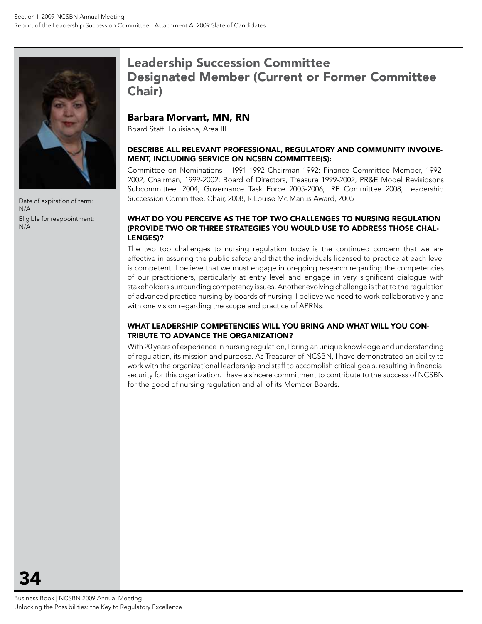

Date of expiration of term: N/A Eligible for reappointment: N/A

# Leadership Succession Committee Designated Member (Current or Former Committee Chair)

### Barbara Morvant, MN, RN

Board Staff, Louisiana, Area III

#### Describe all relevant professional, regulatory and community involvement, including service on NCSBN committee(s):

Committee on Nominations - 1991-1992 Chairman 1992; Finance Committee Member, 1992- 2002, Chairman, 1999-2002; Board of Directors, Treasure 1999-2002, PR&E Model Revisiosons Subcommittee, 2004; Governance Task Force 2005-2006; IRE Committee 2008; Leadership Succession Committee, Chair, 2008, R.Louise Mc Manus Award, 2005

#### What do you perceive as the top two challenges to nursing regulation (provide two or three strategies you would use to address those challenges)?

The two top challenges to nursing regulation today is the continued concern that we are effective in assuring the public safety and that the individuals licensed to practice at each level is competent. I believe that we must engage in on-going research regarding the competencies of our practitioners, particularly at entry level and engage in very significant dialogue with stakeholders surrounding competency issues. Another evolving challenge is that to the regulation of advanced practice nursing by boards of nursing. I believe we need to work collaboratively and with one vision regarding the scope and practice of APRNs.

#### What leadership competencies will you bring and what will you contribute to advance the organization?

With 20 years of experience in nursing regulation, I bring an unique knowledge and understanding of regulation, its mission and purpose. As Treasurer of NCSBN, I have demonstrated an ability to work with the organizational leadership and staff to accomplish critical goals, resulting in financial security for this organization. I have a sincere commitment to contribute to the success of NCSBN for the good of nursing regulation and all of its Member Boards.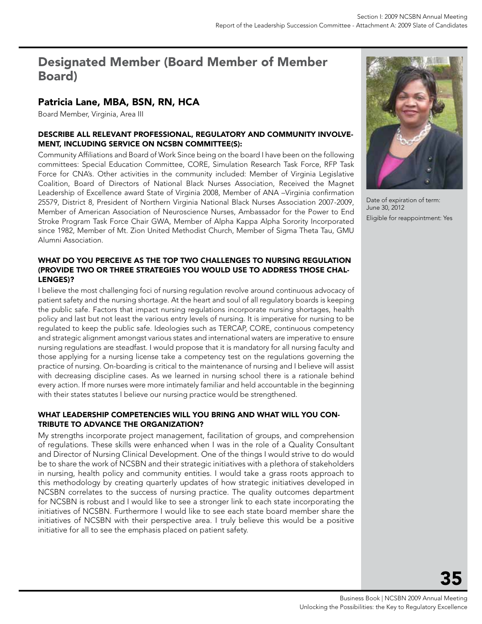# Designated Member (Board Member of Member Board)

## Patricia Lane, MBA, BSN, RN, HCA

Board Member, Virginia, Area III

#### Describe all relevant professional, regulatory and community involvement, including service on NCSBN committee(s):

Community Affiliations and Board of Work Since being on the board I have been on the following committees: Special Education Committee, CORE, Simulation Research Task Force, RFP Task Force for CNA's. Other activities in the community included: Member of Virginia Legislative Coalition, Board of Directors of National Black Nurses Association, Received the Magnet Leadership of Excellence award State of Virginia 2008, Member of ANA –Virginia confirmation 25579, District 8, President of Northern Virginia National Black Nurses Association 2007-2009, Member of American Association of Neuroscience Nurses, Ambassador for the Power to End Stroke Program Task Force Chair GWA, Member of Alpha Kappa Alpha Sorority Incorporated since 1982, Member of Mt. Zion United Methodist Church, Member of Sigma Theta Tau, GMU Alumni Association.



Date of expiration of term: June 30, 2012 Eligible for reappointment: Yes

#### WHAT DO YOU PERCEIVE AS THE TOP TWO CHALLENGES TO NURSING REGULATION (provide two or three strategies you would use to address those challenges)?

I believe the most challenging foci of nursing regulation revolve around continuous advocacy of patient safety and the nursing shortage. At the heart and soul of all regulatory boards is keeping the public safe. Factors that impact nursing regulations incorporate nursing shortages, health policy and last but not least the various entry levels of nursing. It is imperative for nursing to be regulated to keep the public safe. Ideologies such as TERCAP, CORE, continuous competency and strategic alignment amongst various states and international waters are imperative to ensure nursing regulations are steadfast. I would propose that it is mandatory for all nursing faculty and those applying for a nursing license take a competency test on the regulations governing the practice of nursing. On-boarding is critical to the maintenance of nursing and I believe will assist with decreasing discipline cases. As we learned in nursing school there is a rationale behind every action. If more nurses were more intimately familiar and held accountable in the beginning with their states statutes I believe our nursing practice would be strengthened.

#### What leadership competencies will you bring and what will you contribute to advance the organization?

My strengths incorporate project management, facilitation of groups, and comprehension of regulations. These skills were enhanced when I was in the role of a Quality Consultant and Director of Nursing Clinical Development. One of the things I would strive to do would be to share the work of NCSBN and their strategic initiatives with a plethora of stakeholders in nursing, health policy and community entities. I would take a grass roots approach to this methodology by creating quarterly updates of how strategic initiatives developed in NCSBN correlates to the success of nursing practice. The quality outcomes department for NCSBN is robust and I would like to see a stronger link to each state incorporating the initiatives of NCSBN. Furthermore I would like to see each state board member share the initiatives of NCSBN with their perspective area. I truly believe this would be a positive initiative for all to see the emphasis placed on patient safety.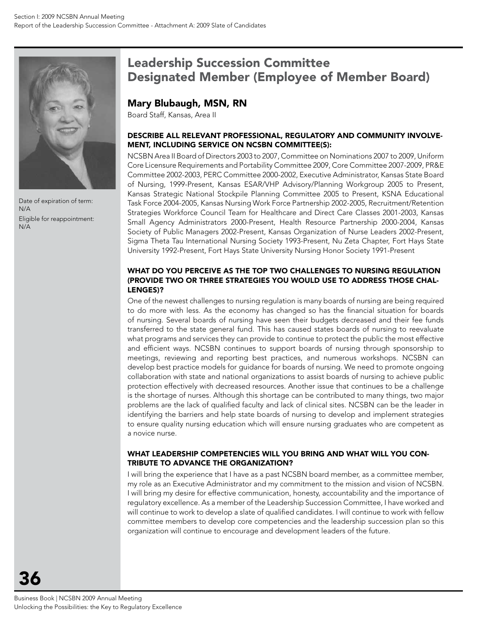

Date of expiration of term: N/A Eligible for reappointment: N/A

# Leadership Succession Committee Designated Member (Employee of Member Board)

## Mary Blubaugh, MSN, RN

Board Staff, Kansas, Area II

#### Describe all relevant professional, regulatory and community involvement, including service on NCSBN committee(s):

NCSBN Area II Board of Directors 2003 to 2007, Committee on Nominations 2007 to 2009, Uniform Core Licensure Requirements and Portability Committee 2009, Core Committee 2007-2009, PR&E Committee 2002-2003, PERC Committee 2000-2002, Executive Administrator, Kansas State Board of Nursing, 1999-Present, Kansas ESAR/VHP Advisory/Planning Workgroup 2005 to Present, Kansas Strategic National Stockpile Planning Committee 2005 to Present, KSNA Educational Task Force 2004-2005, Kansas Nursing Work Force Partnership 2002-2005, Recruitment/Retention Strategies Workforce Council Team for Healthcare and Direct Care Classes 2001-2003, Kansas Small Agency Administrators 2000-Present, Health Resource Partnership 2000-2004, Kansas Society of Public Managers 2002-Present, Kansas Organization of Nurse Leaders 2002-Present, Sigma Theta Tau International Nursing Society 1993-Present, Nu Zeta Chapter, Fort Hays State University 1992-Present, Fort Hays State University Nursing Honor Society 1991-Present

#### What do you perceive as the top two challenges to nursing regulation (provide two or three strategies you would use to address those challenges)?

One of the newest challenges to nursing regulation is many boards of nursing are being required to do more with less. As the economy has changed so has the financial situation for boards of nursing. Several boards of nursing have seen their budgets decreased and their fee funds transferred to the state general fund. This has caused states boards of nursing to reevaluate what programs and services they can provide to continue to protect the public the most effective and efficient ways. NCSBN continues to support boards of nursing through sponsorship to meetings, reviewing and reporting best practices, and numerous workshops. NCSBN can develop best practice models for guidance for boards of nursing. We need to promote ongoing collaboration with state and national organizations to assist boards of nursing to achieve public protection effectively with decreased resources. Another issue that continues to be a challenge is the shortage of nurses. Although this shortage can be contributed to many things, two major problems are the lack of qualified faculty and lack of clinical sites. NCSBN can be the leader in identifying the barriers and help state boards of nursing to develop and implement strategies to ensure quality nursing education which will ensure nursing graduates who are competent as a novice nurse.

#### What leadership competencies will you bring and what will you contribute to advance the organization?

I will bring the experience that I have as a past NCSBN board member, as a committee member, my role as an Executive Administrator and my commitment to the mission and vision of NCSBN. I will bring my desire for effective communication, honesty, accountability and the importance of regulatory excellence. As a member of the Leadership Succession Committee, I have worked and will continue to work to develop a slate of qualified candidates. I will continue to work with fellow committee members to develop core competencies and the leadership succession plan so this organization will continue to encourage and development leaders of the future.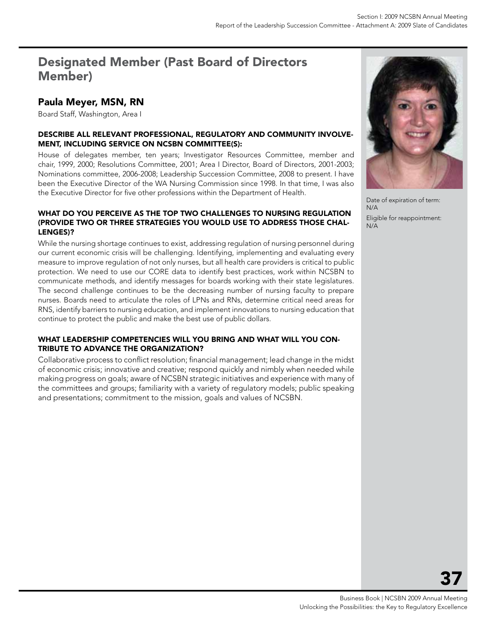# Designated Member (Past Board of Directors Member)

## Paula Meyer, MSN, RN

Board Staff, Washington, Area I

#### Describe all relevant professional, regulatory and community involvement, including service on NCSBN committee(s):

House of delegates member, ten years; Investigator Resources Committee, member and chair, 1999, 2000; Resolutions Committee, 2001; Area I Director, Board of Directors, 2001-2003; Nominations committee, 2006-2008; Leadership Succession Committee, 2008 to present. I have been the Executive Director of the WA Nursing Commission since 1998. In that time, I was also the Executive Director for five other professions within the Department of Health.

#### WHAT DO YOU PERCEIVE AS THE TOP TWO CHALLENGES TO NURSING REGULATION (provide two or three strategies you would use to address those challenges)?

While the nursing shortage continues to exist, addressing regulation of nursing personnel during our current economic crisis will be challenging. Identifying, implementing and evaluating every measure to improve regulation of not only nurses, but all health care providers is critical to public protection. We need to use our CORE data to identify best practices, work within NCSBN to communicate methods, and identify messages for boards working with their state legislatures. The second challenge continues to be the decreasing number of nursing faculty to prepare nurses. Boards need to articulate the roles of LPNs and RNs, determine critical need areas for RNS, identify barriers to nursing education, and implement innovations to nursing education that continue to protect the public and make the best use of public dollars.

#### What leadership competencies will you bring and what will you contribute to advance the organization?

Collaborative process to conflict resolution; financial management; lead change in the midst of economic crisis; innovative and creative; respond quickly and nimbly when needed while making progress on goals; aware of NCSBN strategic initiatives and experience with many of the committees and groups; familiarity with a variety of regulatory models; public speaking and presentations; commitment to the mission, goals and values of NCSBN.



Date of expiration of term: N/A Eligible for reappointment: N/A

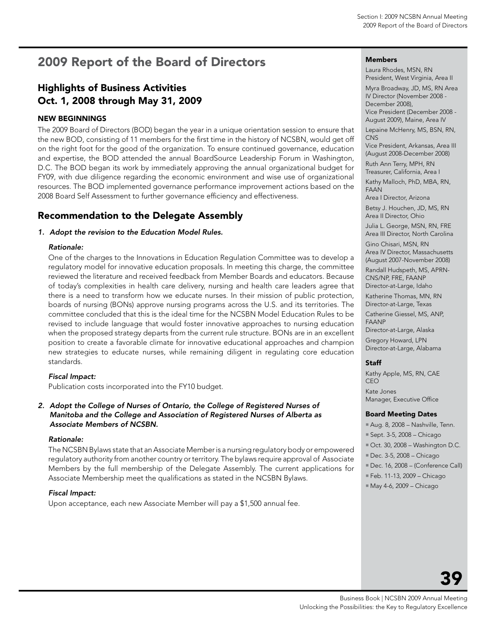# <span id="page-39-0"></span>2009 Report of the Board of Directors

## Highlights of Business Activities Oct. 1, 2008 through May 31, 2009

#### new beginnings

The 2009 Board of Directors (BOD) began the year in a unique orientation session to ensure that the new BOD, consisting of 11 members for the first time in the history of NCSBN, would get off on the right foot for the good of the organization. To ensure continued governance, education and expertise, the BOD attended the annual BoardSource Leadership Forum in Washington, D.C. The BOD began its work by immediately approving the annual organizational budget for FY09, with due diligence regarding the economic environment and wise use of organizational resources. The BOD implemented governance performance improvement actions based on the 2008 Board Self Assessment to further governance efficiency and effectiveness.

## Recommendation to the Delegate Assembly

#### *1. Adopt the revision to the Education Model Rules.*

#### *Rationale:*

One of the charges to the Innovations in Education Regulation Committee was to develop a regulatory model for innovative education proposals. In meeting this charge, the committee reviewed the literature and received feedback from Member Boards and educators. Because of today's complexities in health care delivery, nursing and health care leaders agree that there is a need to transform how we educate nurses. In their mission of public protection, boards of nursing (BONs) approve nursing programs across the U.S. and its territories. The committee concluded that this is the ideal time for the NCSBN Model Education Rules to be revised to include language that would foster innovative approaches to nursing education when the proposed strategy departs from the current rule structure. BONs are in an excellent position to create a favorable climate for innovative educational approaches and champion new strategies to educate nurses, while remaining diligent in regulating core education standards.

#### *Fiscal Impact:*

Publication costs incorporated into the FY10 budget.

#### *2. Adopt the College of Nurses of Ontario, the College of Registered Nurses of Manitoba and the College and Association of Registered Nurses of Alberta as Associate Members of NCSBN.*

#### *Rationale:*

The NCSBN Bylaws state that an Associate Member is a nursing regulatory body or empowered regulatory authority from another country or territory. The bylaws require approval of Associate Members by the full membership of the Delegate Assembly. The current applications for Associate Membership meet the qualifications as stated in the NCSBN Bylaws.

#### *Fiscal Impact:*

Upon acceptance, each new Associate Member will pay a \$1,500 annual fee.

#### Members

Laura Rhodes, MSN, RN President, West Virginia, Area II

Myra Broadway, JD, MS, RN Area IV Director (November 2008 - December 2008), Vice President (December 2008 - August 2009), Maine, Area IV

Lepaine McHenry, MS, BSN, RN, **CNS** 

Vice President, Arkansas, Area III (August 2008-December 2008)

Ruth Ann Terry, MPH, RN Treasurer, California, Area I

Kathy Malloch, PhD, MBA, RN, FAAN

Area I Director, Arizona

Betsy J. Houchen, JD, MS, RN Area II Director, Ohio

Julia L. George, MSN, RN, FRE Area III Director, North Carolina

Gino Chisari, MSN, RN

Area IV Director, Massachusetts (August 2007-November 2008)

Randall Hudspeth, MS, APRN-

CNS/NP, FRE, FAANP

Director-at-Large, Idaho

Katherine Thomas, MN, RN Director-at-Large, Texas

Catherine Giessel, MS, ANP,

FAANP

Director-at-Large, Alaska

Gregory Howard, LPN Director-at-Large, Alabama

#### Staff

Kathy Apple, MS, RN, CAE CEO Kate Jones Manager, Executive Office

#### Board Meeting Dates

- Aug. 8, 2008 Nashville, Tenn.
- Sept. 3-5, 2008 Chicago
- $\blacksquare$  Oct. 30, 2008 Washington D.C.
- Dec. 3-5, 2008 Chicago
- Dec. 16, 2008 (Conference Call)
- Feb. 11-13, 2009 Chicago
- May 4-6, 2009 Chicago

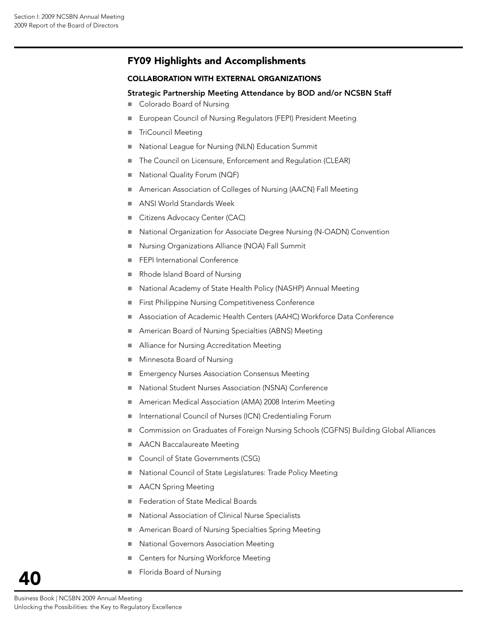## FY09 Highlights and Accomplishments

#### Collaboration with External Organizations

#### Strategic Partnership Meeting Attendance by BOD and/or NCSBN Staff

- Colorado Board of Nursing
- European Council of Nursing Regulators (FEPI) President Meeting
- TriCouncil Meeting
- National League for Nursing (NLN) Education Summit
- The Council on Licensure, Enforcement and Regulation (CLEAR)
- National Quality Forum (NQF)
- American Association of Colleges of Nursing (AACN) Fall Meeting
- ANSI World Standards Week
- Citizens Advocacy Center (CAC)
- National Organization for Associate Degree Nursing (N-OADN) Convention
- Nursing Organizations Alliance (NOA) Fall Summit
- FEPI International Conference
- Rhode Island Board of Nursing
- National Academy of State Health Policy (NASHP) Annual Meeting
- **First Philippine Nursing Competitiveness Conference**
- Association of Academic Health Centers (AAHC) Workforce Data Conference
- American Board of Nursing Specialties (ABNS) Meeting
- Alliance for Nursing Accreditation Meeting
- Minnesota Board of Nursing
- Emergency Nurses Association Consensus Meeting
- National Student Nurses Association (NSNA) Conference
- American Medical Association (AMA) 2008 Interim Meeting
- International Council of Nurses (ICN) Credentialing Forum
- Commission on Graduates of Foreign Nursing Schools (CGFNS) Building Global Alliances
- AACN Baccalaureate Meeting
- Council of State Governments (CSG)
- National Council of State Legislatures: Trade Policy Meeting
- **AACN Spring Meeting**
- Federation of State Medical Boards
- National Association of Clinical Nurse Specialists
- American Board of Nursing Specialties Spring Meeting
- National Governors Association Meeting
- Centers for Nursing Workforce Meeting
- **Florida Board of Nursing**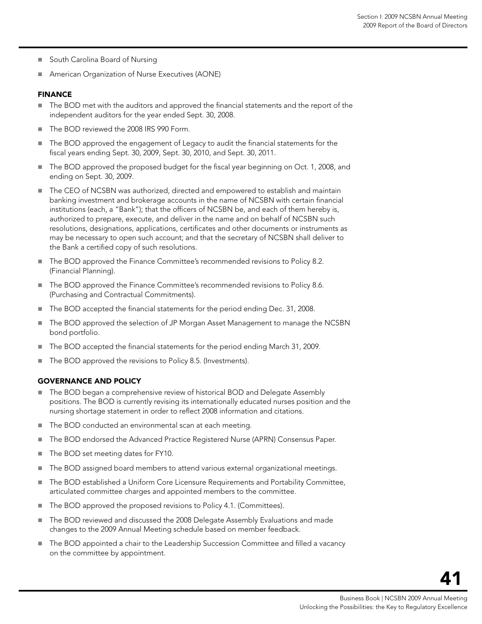- South Carolina Board of Nursing
- American Organization of Nurse Executives (AONE)

#### Finance

- The BOD met with the auditors and approved the financial statements and the report of the independent auditors for the year ended Sept. 30, 2008.
- The BOD reviewed the 2008 IRS 990 Form.
- The BOD approved the engagement of Legacy to audit the financial statements for the fiscal years ending Sept. 30, 2009, Sept. 30, 2010, and Sept. 30, 2011.
- The BOD approved the proposed budget for the fiscal year beginning on Oct. 1, 2008, and ending on Sept. 30, 2009.
- The CEO of NCSBN was authorized, directed and empowered to establish and maintain banking investment and brokerage accounts in the name of NCSBN with certain financial institutions (each, a "Bank"); that the officers of NCSBN be, and each of them hereby is, authorized to prepare, execute, and deliver in the name and on behalf of NCSBN such resolutions, designations, applications, certificates and other documents or instruments as may be necessary to open such account; and that the secretary of NCSBN shall deliver to the Bank a certified copy of such resolutions.
- The BOD approved the Finance Committee's recommended revisions to Policy 8.2. (Financial Planning).
- The BOD approved the Finance Committee's recommended revisions to Policy 8.6. (Purchasing and Contractual Commitments).
- The BOD accepted the financial statements for the period ending Dec. 31, 2008.
- The BOD approved the selection of JP Morgan Asset Management to manage the NCSBN bond portfolio.
- The BOD accepted the financial statements for the period ending March 31, 2009.
- The BOD approved the revisions to Policy 8.5. (Investments).

#### Governance and Policy

- The BOD began a comprehensive review of historical BOD and Delegate Assembly positions. The BOD is currently revising its internationally educated nurses position and the nursing shortage statement in order to reflect 2008 information and citations.
- The BOD conducted an environmental scan at each meeting.
- The BOD endorsed the Advanced Practice Registered Nurse (APRN) Consensus Paper.
- The BOD set meeting dates for FY10.
- The BOD assigned board members to attend various external organizational meetings.
- The BOD established a Uniform Core Licensure Requirements and Portability Committee, articulated committee charges and appointed members to the committee.
- The BOD approved the proposed revisions to Policy 4.1. (Committees).
- The BOD reviewed and discussed the 2008 Delegate Assembly Evaluations and made changes to the 2009 Annual Meeting schedule based on member feedback.
- The BOD appointed a chair to the Leadership Succession Committee and filled a vacancy on the committee by appointment.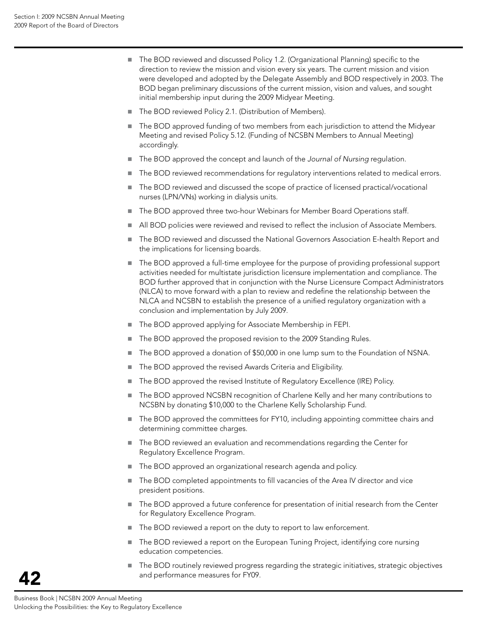- The BOD reviewed and discussed Policy 1.2. (Organizational Planning) specific to the direction to review the mission and vision every six years. The current mission and vision were developed and adopted by the Delegate Assembly and BOD respectively in 2003. The BOD began preliminary discussions of the current mission, vision and values, and sought initial membership input during the 2009 Midyear Meeting.
- The BOD reviewed Policy 2.1. (Distribution of Members).
- The BOD approved funding of two members from each jurisdiction to attend the Midyear Meeting and revised Policy 5.12. (Funding of NCSBN Members to Annual Meeting) accordingly.
- The BOD approved the concept and launch of the *Journal of Nursing* regulation.
- The BOD reviewed recommendations for regulatory interventions related to medical errors.
- The BOD reviewed and discussed the scope of practice of licensed practical/vocational nurses (LPN/VNs) working in dialysis units.
- The BOD approved three two-hour Webinars for Member Board Operations staff.
- All BOD policies were reviewed and revised to reflect the inclusion of Associate Members.
- The BOD reviewed and discussed the National Governors Association E-health Report and the implications for licensing boards.
- The BOD approved a full-time employee for the purpose of providing professional support activities needed for multistate jurisdiction licensure implementation and compliance. The BOD further approved that in conjunction with the Nurse Licensure Compact Administrators (NLCA) to move forward with a plan to review and redefine the relationship between the NLCA and NCSBN to establish the presence of a unified regulatory organization with a conclusion and implementation by July 2009.
- The BOD approved applying for Associate Membership in FEPI.
- The BOD approved the proposed revision to the 2009 Standing Rules.
- The BOD approved a donation of \$50,000 in one lump sum to the Foundation of NSNA.
- The BOD approved the revised Awards Criteria and Eligibility.
- The BOD approved the revised Institute of Regulatory Excellence (IRE) Policy.
- The BOD approved NCSBN recognition of Charlene Kelly and her many contributions to NCSBN by donating \$10,000 to the Charlene Kelly Scholarship Fund.
- The BOD approved the committees for FY10, including appointing committee chairs and determining committee charges.
- The BOD reviewed an evaluation and recommendations regarding the Center for Regulatory Excellence Program.
- The BOD approved an organizational research agenda and policy.
- The BOD completed appointments to fill vacancies of the Area IV director and vice president positions.
- The BOD approved a future conference for presentation of initial research from the Center for Regulatory Excellence Program.
- The BOD reviewed a report on the duty to report to law enforcement.
- The BOD reviewed a report on the European Tuning Project, identifying core nursing education competencies.
- The BOD routinely reviewed progress regarding the strategic initiatives, strategic objectives and performance measures for FY09.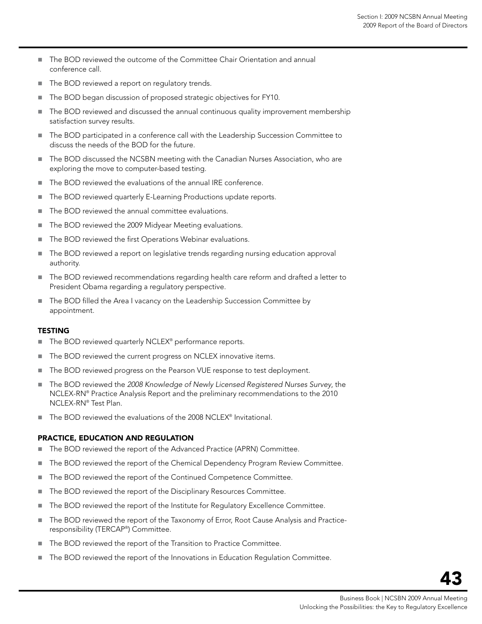- The BOD reviewed the outcome of the Committee Chair Orientation and annual conference call.
- The BOD reviewed a report on regulatory trends.
- The BOD began discussion of proposed strategic objectives for FY10.
- The BOD reviewed and discussed the annual continuous quality improvement membership satisfaction survey results.
- The BOD participated in a conference call with the Leadership Succession Committee to discuss the needs of the BOD for the future.
- The BOD discussed the NCSBN meeting with the Canadian Nurses Association, who are exploring the move to computer-based testing.
- The BOD reviewed the evaluations of the annual IRE conference.
- The BOD reviewed quarterly E-Learning Productions update reports.
- The BOD reviewed the annual committee evaluations.
- The BOD reviewed the 2009 Midyear Meeting evaluations.
- The BOD reviewed the first Operations Webinar evaluations.
- The BOD reviewed a report on legislative trends regarding nursing education approval authority.
- The BOD reviewed recommendations regarding health care reform and drafted a letter to President Obama regarding a regulatory perspective.
- The BOD filled the Area I vacancy on the Leadership Succession Committee by appointment.

#### **TESTING**

- The BOD reviewed quarterly NCLEX<sup>®</sup> performance reports.
- The BOD reviewed the current progress on NCLEX innovative items.
- The BOD reviewed progress on the Pearson VUE response to test deployment.
- The BOD reviewed the *2008 Knowledge of Newly Licensed Registered Nurses Survey*, the NCLEX-RN® Practice Analysis Report and the preliminary recommendations to the 2010 NCLEX-RN® Test Plan.
- The BOD reviewed the evaluations of the 2008 NCLEX® Invitational.

#### Practice, Education and Regulation

- The BOD reviewed the report of the Advanced Practice (APRN) Committee.
- The BOD reviewed the report of the Chemical Dependency Program Review Committee.
- The BOD reviewed the report of the Continued Competence Committee.
- The BOD reviewed the report of the Disciplinary Resources Committee.
- The BOD reviewed the report of the Institute for Regulatory Excellence Committee.
- The BOD reviewed the report of the Taxonomy of Error, Root Cause Analysis and Practiceresponsibility (TERCAP® ) Committee.
- The BOD reviewed the report of the Transition to Practice Committee.
- The BOD reviewed the report of the Innovations in Education Regulation Committee.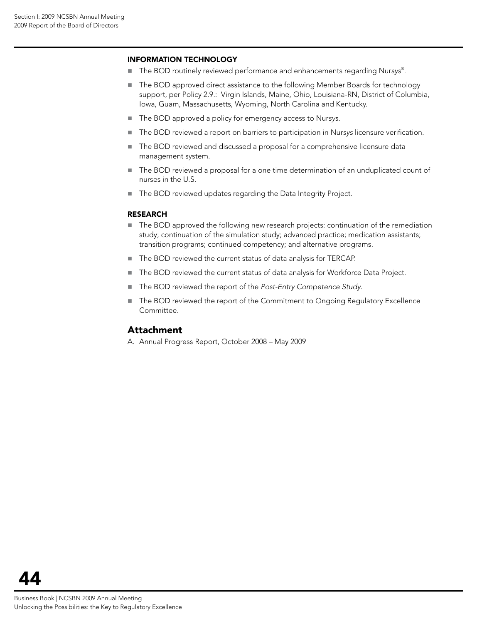#### Information Technology

- The BOD routinely reviewed performance and enhancements regarding Nursys<sup>®</sup>.
- The BOD approved direct assistance to the following Member Boards for technology support, per Policy 2.9.: Virgin Islands, Maine, Ohio, Louisiana-RN, District of Columbia, Iowa, Guam, Massachusetts, Wyoming, North Carolina and Kentucky.
- The BOD approved a policy for emergency access to Nursys.
- The BOD reviewed a report on barriers to participation in Nur*sys* licensure verification.
- The BOD reviewed and discussed a proposal for a comprehensive licensure data management system.
- The BOD reviewed a proposal for a one time determination of an unduplicated count of nurses in the U.S.
- The BOD reviewed updates regarding the Data Integrity Project.

#### **RESEARCH**

- The BOD approved the following new research projects: continuation of the remediation study; continuation of the simulation study; advanced practice; medication assistants; transition programs; continued competency; and alternative programs.
- The BOD reviewed the current status of data analysis for TERCAP.
- The BOD reviewed the current status of data analysis for Workforce Data Project.
- The BOD reviewed the report of the *Post-Entry Competence Study*.
- The BOD reviewed the report of the Commitment to Ongoing Regulatory Excellence Committee.

#### Attachment

A. Annual Progress Report, October 2008 – May 2009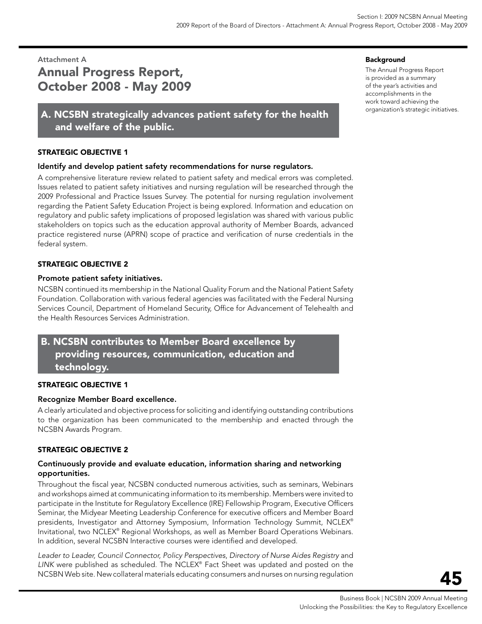# <span id="page-45-0"></span>Attachment A Annual Progress Report, October 2008 - May 2009

## A. NCSBN strategically advances patient safety for the health and welfare of the public.

#### STRATEGIC OBJECTIVE 1

#### Identify and develop patient safety recommendations for nurse regulators.

A comprehensive literature review related to patient safety and medical errors was completed. Issues related to patient safety initiatives and nursing regulation will be researched through the 2009 Professional and Practice Issues Survey. The potential for nursing regulation involvement regarding the Patient Safety Education Project is being explored. Information and education on regulatory and public safety implications of proposed legislation was shared with various public stakeholders on topics such as the education approval authority of Member Boards, advanced practice registered nurse (APRN) scope of practice and verification of nurse credentials in the federal system.

#### STRATEGIC OBJECTIVE 2

#### Promote patient safety initiatives.

NCSBN continued its membership in the National Quality Forum and the National Patient Safety Foundation. Collaboration with various federal agencies was facilitated with the Federal Nursing Services Council, Department of Homeland Security, Office for Advancement of Telehealth and the Health Resources Services Administration.

## B. NCSBN contributes to Member Board excellence by providing resources, communication, education and technology.

#### STRATEGIC OBJECTIVE 1

#### Recognize Member Board excellence.

A clearly articulated and objective process for soliciting and identifying outstanding contributions to the organization has been communicated to the membership and enacted through the NCSBN Awards Program.

#### STRATEGIC OBJECTIVE 2

#### Continuously provide and evaluate education, information sharing and networking opportunities.

Throughout the fiscal year, NCSBN conducted numerous activities, such as seminars, Webinars and workshops aimed at communicating information to its membership. Members were invited to participate in the Institute for Regulatory Excellence (IRE) Fellowship Program, Executive Officers Seminar, the Midyear Meeting Leadership Conference for executive officers and Member Board presidents, Investigator and Attorney Symposium, Information Technology Summit, NCLEX® Invitational, two NCLEX® Regional Workshops, as well as Member Board Operations Webinars. In addition, several NCSBN Interactive courses were identified and developed.

*Leader to Leader, Council Connector, Policy Perspectives*, *Directory of Nurse Aides Registry* and *LINK* were published as scheduled. The NCLEX® Fact Sheet was updated and posted on the NCSBN Web site. New collateral materials educating consumers and nurses on nursing regulation

#### Background

The Annual Progress Report is provided as a summary of the year's activities and accomplishments in the work toward achieving the organization's strategic initiatives.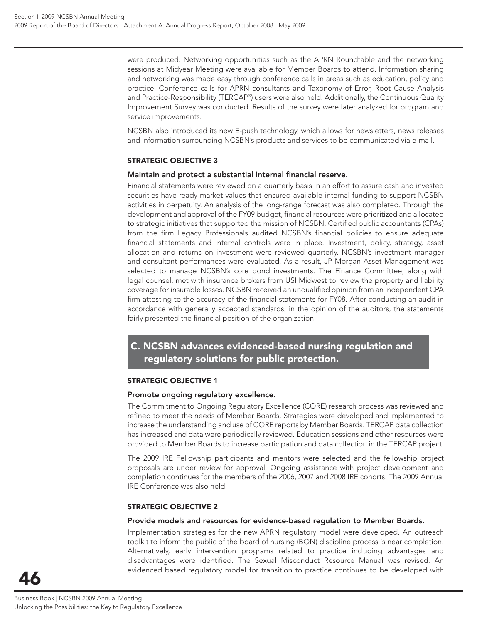were produced. Networking opportunities such as the APRN Roundtable and the networking sessions at Midyear Meeting were available for Member Boards to attend. Information sharing and networking was made easy through conference calls in areas such as education, policy and practice. Conference calls for APRN consultants and Taxonomy of Error, Root Cause Analysis and Practice-Responsibility (TERCAP® ) users were also held. Additionally, the Continuous Quality Improvement Survey was conducted. Results of the survey were later analyzed for program and service improvements.

NCSBN also introduced its new E-push technology, which allows for newsletters, news releases and information surrounding NCSBN's products and services to be communicated via e-mail.

#### **STRATEGIC OBJECTIVE 3**

#### **Maintain and protect a substantial internal financial reserve.**

Financial statements were reviewed on a quarterly basis in an effort to assure cash and invested securities have ready market values that ensured available internal funding to support NCSBN activities in perpetuity. An analysis of the long-range forecast was also completed. Through the development and approval of the FY09 budget, financial resources were prioritized and allocated to strategic initiatives that supported the mission of NCSBN. Certified public accountants (CPAs) from the firm Legacy Professionals audited NCSBN's financial policies to ensure adequate financial statements and internal controls were in place. Investment, policy, strategy, asset allocation and returns on investment were reviewed quarterly. NCSBN's investment manager and consultant performances were evaluated. As a result, JP Morgan Asset Management was selected to manage NCSBN's core bond investments. The Finance Committee, along with legal counsel, met with insurance brokers from USI Midwest to review the property and liability coverage for insurable losses. NCSBN received an unqualified opinion from an independent CPA firm attesting to the accuracy of the financial statements for FY08. After conducting an audit in accordance with generally accepted standards, in the opinion of the auditors, the statements fairly presented the financial position of the organization.

## **C. NCSBN advances evidenced-based nursing regulation and regulatory solutions for public protection.**

#### **STRATEGIC OBJECTIVE 1**

#### **Promote ongoing regulatory excellence.**

The Commitment to Ongoing Regulatory Excellence (CORE) research process was reviewed and refined to meet the needs of Member Boards. Strategies were developed and implemented to increase the understanding and use of CORE reports by Member Boards. TERCAP data collection has increased and data were periodically reviewed. Education sessions and other resources were provided to Member Boards to increase participation and data collection in the TERCAP project.

The 2009 IRE Fellowship participants and mentors were selected and the fellowship project proposals are under review for approval. Ongoing assistance with project development and completion continues for the members of the 2006, 2007 and 2008 IRE cohorts. The 2009 Annual IRE Conference was also held.

#### **STRATEGIC OBJECTIVE 2**

#### **Provide models and resources for evidence-based regulation to Member Boards.**

Implementation strategies for the new APRN regulatory model were developed. An outreach toolkit to inform the public of the board of nursing (BON) discipline process is near completion. Alternatively, early intervention programs related to practice including advantages and disadvantages were identified. The Sexual Misconduct Resource Manual was revised. An evidenced based regulatory model for transition to practice continues to be developed with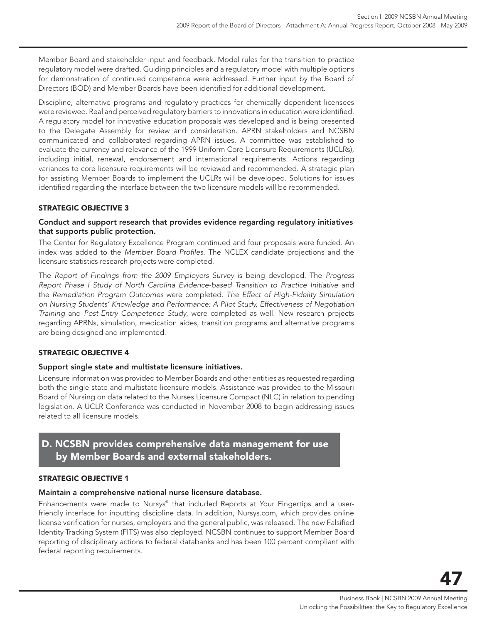Member Board and stakeholder input and feedback. Model rules for the transition to practice regulatory model were drafted. Guiding principles and a regulatory model with multiple options for demonstration of continued competence were addressed. Further input by the Board of Directors (BOD) and Member Boards have been identified for additional development.

Discipline, alternative programs and regulatory practices for chemically dependent licensees were reviewed. Real and perceived regulatory barriers to innovations in education were identified. A regulatory model for innovative education proposals was developed and is being presented to the Delegate Assembly for review and consideration. APRN stakeholders and NCSBN communicated and collaborated regarding APRN issues. A committee was established to evaluate the currency and relevance of the 1999 Uniform Core Licensure Requirements (UCLRs), including initial, renewal, endorsement and international requirements. Actions regarding variances to core licensure requirements will be reviewed and recommended. A strategic plan for assisting Member Boards to implement the UCLRs will be developed. Solutions for issues identified regarding the interface between the two licensure models will be recommended.

#### **STRATEGIC OBJECTIVE 3**

#### **Conduct and support research that provides evidence regarding regulatory initiatives that supports public protection.**

The Center for Regulatory Excellence Program continued and four proposals were funded. An index was added to the *Member Board Profi les*. The NCLEX candidate projections and the licensure statistics research projects were completed.

The *Report of Findings from the 2009 Employers Survey* is being developed. The *Progress Report Phase I Study of North Carolina Evidence-based Transition to Practice Initiative* and the *Remediation Program Outcomes* were completed. *The Effect of High-Fidelity Simulation on Nursing Students' Knowledge and Performance: A Pilot Study, Effectiveness of Negotiation Training* and *Post-Entry Competence Study*, were completed as well. New research projects regarding APRNs, simulation, medication aides, transition programs and alternative programs are being designed and implemented.

#### **STRATEGIC OBJECTIVE 4**

#### **Support single state and multistate licensure initiatives.**

Licensure information was provided to Member Boards and other entities as requested regarding both the single state and multistate licensure models. Assistance was provided to the Missouri Board of Nursing on data related to the Nurses Licensure Compact (NLC) in relation to pending legislation. A UCLR Conference was conducted in November 2008 to begin addressing issues related to all licensure models.

## **D. NCSBN provides comprehensive data management for use by Member Boards and external stakeholders.**

#### **STRATEGIC OBJECTIVE 1**

#### **Maintain a comprehensive national nurse licensure database.**

Enhancements were made to Nur*sys*® that included Reports at Your Fingertips and a userfriendly interface for inputting discipline data. In addition, Nursys.com, which provides online license verification for nurses, employers and the general public, was released. The new Falsified Identity Tracking System (FITS) was also deployed. NCSBN continues to support Member Board reporting of disciplinary actions to federal databanks and has been 100 percent compliant with federal reporting requirements.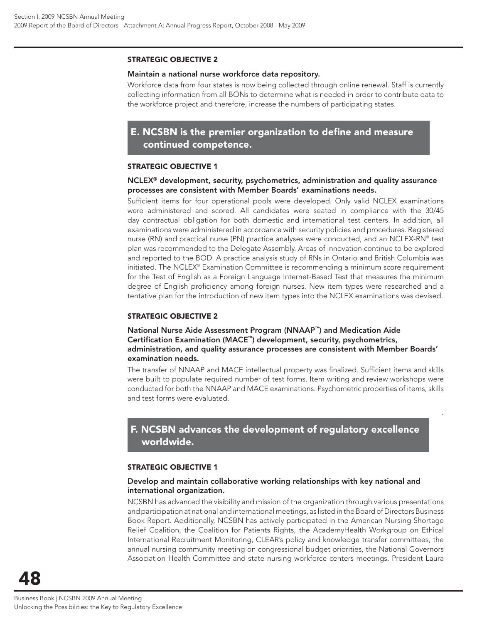#### **STRATEGIC OBJECTIVE 2**

#### **Maintain a national nurse workforce data repository.**

Workforce data from four states is now being collected through online renewal. Staff is currently collecting information from all BONs to determine what is needed in order to contribute data to the workforce project and therefore, increase the numbers of participating states.

## **E. NCSBN is the premier organization to define and measure continued competence.**

#### **STRATEGIC OBJECTIVE 1**

#### **NCLEX® development, security, psychometrics, administration and quality assurance processes are consistent with Member Boards' examinations needs.**

Sufficient items for four operational pools were developed. Only valid NCLEX examinations were administered and scored. All candidates were seated in compliance with the 30/45 day contractual obligation for both domestic and international test centers. In addition, all examinations were administered in accordance with security policies and procedures. Registered nurse (RN) and practical nurse (PN) practice analyses were conducted, and an NCLEX-RN® test plan was recommended to the Delegate Assembly. Areas of innovation continue to be explored and reported to the BOD. A practice analysis study of RNs in Ontario and British Columbia was initiated. The NCLEX® Examination Committee is recommending a minimum score requirement for the Test of English as a Foreign Language Internet-Based Test that measures the minimum degree of English proficiency among foreign nurses. New item types were researched and a tentative plan for the introduction of new item types into the NCLEX examinations was devised.

#### **STRATEGIC OBJECTIVE 2**

#### **National Nurse Aide Assessment Program (NNAAP™) and Medication Aide Certifi cation Examination (MACE™) development, security, psychometrics, administration, and quality assurance processes are consistent with Member Boards' examination needs.**

The transfer of NNAAP and MACE intellectual property was finalized. Sufficient items and skills were built to populate required number of test forms. Item writing and review workshops were conducted for both the NNAAP and MACE examinations. Psychometric properties of items, skills and test forms were evaluated.

.

## **F. NCSBN advances the development of regulatory excellence worldwide.**

#### **STRATEGIC OBJECTIVE 1**

#### **Develop and maintain collaborative working relationships with key national and international organization.**

NCSBN has advanced the visibility and mission of the organization through various presentations and participation at national and international meetings, as listed in the Board of Directors Business Book Report. Additionally, NCSBN has actively participated in the American Nursing Shortage Relief Coalition, the Coalition for Patients Rights, the AcademyHealth Workgroup on Ethical International Recruitment Monitoring, CLEAR's policy and knowledge transfer committees, the annual nursing community meeting on congressional budget priorities, the National Governors Association Health Committee and state nursing workforce centers meetings. President Laura